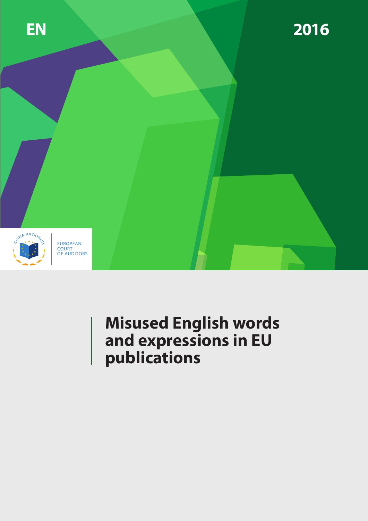

# **Misused English words and expressions in EU publications**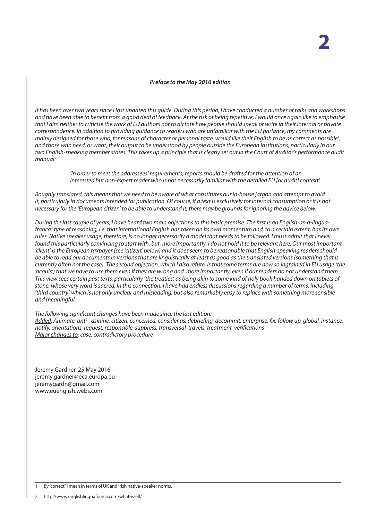#### *Preface to the May 2016 edition*

*It has been over two years since I last updated this guide. During this period, I have conducted a number of talks and workshops and have been able to benefit from a good deal of feedback. At the risk of being repetitive, I would once again like to emphasise that I aim neither to criticise the work of EU authors nor to dictate how people should speak or write in their internal or private correspondence. In addition to providing guidance to readers who are unfamiliar with the EU parlance, my comments are mainly designed for those who, for reasons of character or personal taste, would like their English to be as correct as possible*<sup>1</sup> *, and those who need, or want, their output to be understood by people outside the European institutions, particularly in our two English-speaking member states. This takes up a principle that is clearly set out in the Court of Auditor's performance audit manual:*

> *'In order to meet the addressees' requirements, reports should be drafted for the attention of an interested but non-expert reader who is not necessarily familiar with the detailed EU [or audit] context'.*

*Roughly translated, this means that we need to be aware of what constitutes our in-house jargon and attempt to avoid it, particularly in documents intended for publication. Of course, if a text is exclusively for internal consumption or it is not necessary for the 'European citizen' to be able to understand it, there may be grounds for ignoring the advice below.*

*During the last couple of years, I have heard two main objections to this basic premise. The first is an English-as-a-linguafranca*<sup>2</sup>  *type of reasoning, i.e. that international English has taken on its own momentum and, to a certain extent, has its own rules. Native speaker usage, therefore, is no longer necessarily a model that needs to be followed. I must admit that I never*  found this particularly convincing to start with, but, more importantly, I do not hold it to be relevant here. Our most important *'client' is the European taxpayer (see 'citizen', below) and it does seem to be reasonable that English-speaking readers should be able to read our documents in versions that are linguistically at least as good as the translated versions (something that is currently often not the case). The second objection, which I also refute, is that some terms are now so ingrained in EU usage (the 'acquis') that we have to use them even if they are wrong and, more importantly, even if our readers do not understand them. This view sees certain past texts, particularly 'the treaties', as being akin to some kind of holy book handed down on tablets of stone, whose very word is sacred. In this connection, I have had endless discussions regarding a number of terms, including 'third country', which is not only unclear and misleading, but also remarkably easy to replace with something more sensible and meaningful.*

*The following significant changes have been made since the last edition:*

*Added: Animate, anti-, asinine, citizen, concerned, consider as, debriefing, decommit, enterprise, fix, follow up, global, instance, notify, orientations, request, responsible, suppress, transversal, travels, treatment, verifications Major changes to: case, contradictory procedure*

Jeremy Gardner, 25 May 2016 jeremy.gardner@eca.europa.eu jeremygardn@gmail.com www.euenglish.webs.com

1 By 'correct' I mean in terms of UK and Irish native-speaker norms.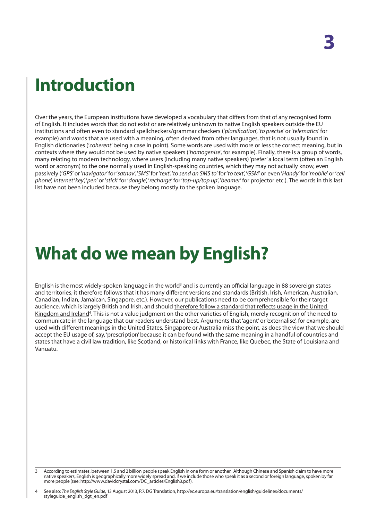# **Introduction**

Over the years, the European institutions have developed a vocabulary that differs from that of any recognised form of English. It includes words that do not exist or are relatively unknown to native English speakers outside the EU institutions and often even to standard spellcheckers/grammar checkers ('*planification*', '*to precise*' or '*telematics*' for example) and words that are used with a meaning, often derived from other languages, that is not usually found in English dictionaries ('*coherent*' being a case in point). Some words are used with more or less the correct meaning, but in contexts where they would not be used by native speakers ('*homogenise*', for example). Finally, there is a group of words, many relating to modern technology, where users (including many native speakers) 'prefer' a local term (often an English word or acronym) to the one normally used in English-speaking countries, which they may not actually know, even passively ('*GPS*' or '*navigator*' for '*satnav*', '*SMS*' for '*text*', '*to send an SMS to*' for '*to text*', '*GSM*' or even '*Handy*' for '*mobile*' or '*cell phone*', *internet* '*key*', '*pen*' or '*stick*' for '*dongle*', '*recharge*' for '*top-up/top up*', '*beamer*' for projector etc.). The words in this last list have not been included because they belong mostly to the spoken language.

# **What do we mean by English?**

English is the most widely-spoken language in the world<sup>3</sup> and is currently an official language in 88 sovereign states and territories; it therefore follows that it has many different versions and standards (British, Irish, American, Australian, Canadian, Indian, Jamaican, Singapore, etc.). However, our publications need to be comprehensible for their target audience, which is largely British and Irish, and should therefore follow a standard that reflects usage in the United Kingdom and Ireland<sup>4</sup>. This is not a value judgment on the other varieties of English, merely recognition of the need to communicate in the language that our readers understand best. Arguments that 'agent' or 'externalise', for example, are used with different meanings in the United States, Singapore or Australia miss the point, as does the view that we should accept the EU usage of, say, 'prescription' because it can be found with the same meaning in a handful of countries and states that have a civil law tradition, like Scotland, or historical links with France, like Quebec, the State of Louisiana and Vanuatu.

<sup>3</sup> According to estimates, between 1.5 and 2 billion people speak English in one form or another. Although Chinese and Spanish claim to have more native speakers, English is geographically more widely spread and, if we include those who speak it as a second or foreign language, spoken by far more people (see: http://www.davidcrystal.com/DC\_articles/English3.pdf).

<sup>4</sup> See also: *The English Style Guide*, 13 August 2013, P.7. DG Translation, http://ec.europa.eu/translation/english/guidelines/documents/ styleguide\_english\_dgt\_en.pdf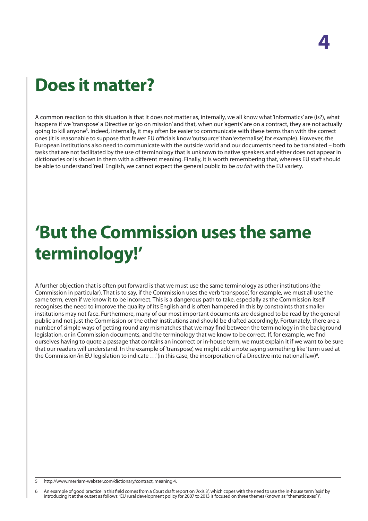# **Does it matter?**

A common reaction to this situation is that it does not matter as, internally, we all know what 'informatics' are (is?), what happens if we 'transpose' a Directive or 'go on mission' and that, when our 'agents' are on a contract, they are not actually going to kill anyone<sup>s</sup>. Indeed, internally, it may often be easier to communicate with these terms than with the correct ones (it is reasonable to suppose that fewer EU officials know 'outsource' than 'externalise', for example). However, the European institutions also need to communicate with the outside world and our documents need to be translated – both tasks that are not facilitated by the use of terminology that is unknown to native speakers and either does not appear in dictionaries or is shown in them with a different meaning. Finally, it is worth remembering that, whereas EU staff should be able to understand 'real' English, we cannot expect the general public to be *au fait* with the EU variety.

# **'But the Commission uses the same terminology!'**

A further objection that is often put forward is that we must use the same terminology as other institutions (the Commission in particular). That is to say, if the Commission uses the verb 'transpose', for example, we must all use the same term, even if we know it to be incorrect. This is a dangerous path to take, especially as the Commission itself recognises the need to improve the quality of its English and is often hampered in this by constraints that smaller institutions may not face. Furthermore, many of our most important documents are designed to be read by the general public and not just the Commission or the other institutions and should be drafted accordingly. Fortunately, there are a number of simple ways of getting round any mismatches that we may find between the terminology in the background legislation, or in Commission documents, and the terminology that we know to be correct. If, for example, we find ourselves having to quote a passage that contains an incorrect or in-house term, we must explain it if we want to be sure that our readers will understand. In the example of 'transpose', we might add a note saying something like 'term used at the Commission/in EU legislation to indicate  $\ldots$  (in this case, the incorporation of a Directive into national law)<sup>6</sup>.

5 http://www.merriam-webster.com/dictionary/contract, meaning 4.

6 An example of good practice in this field comes from a Court draft report on 'Axis 3', which copes with the need to use the in-house term 'axis' by introducing it at the outset as follows: 'EU rural development policy for 2007 to 2013 is focused on three themes (known as "thematic axes")'.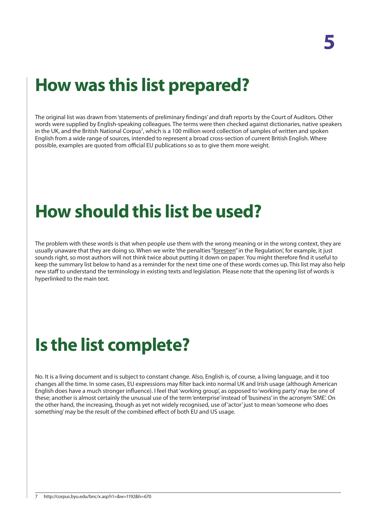# **How was this list prepared?**

The original list was drawn from 'statements of preliminary findings' and draft reports by the Court of Auditors. Other words were supplied by English-speaking colleagues. The terms were then checked against dictionaries, native speakers in the UK, and the British National Corpus<sup>7</sup>, which is a 100 million word collection of samples of written and spoken English from a wide range of sources, intended to represent a broad cross-section of current British English. Where possible, examples are quoted from official EU publications so as to give them more weight.

# **How should this list be used?**

The problem with these words is that when people use them with the wrong meaning or in the wrong context, they are usually unaware that they are doing so. When we write 'the penalties "foreseen" in the Regulation', for example, it just sounds right, so most authors will not think twice about putting it down on paper. You might therefore find it useful to keep the summary list below to hand as a reminder for the next time one of these words comes up. This list may also help new staff to understand the terminology in existing texts and legislation. Please note that the opening list of words is hyperlinked to the main text.

# **Is the list complete?**

No. It is a living document and is subject to constant change. Also, English is, of course, a living language, and it too changes all the time. In some cases, EU expressions may filter back into normal UK and Irish usage (although American English does have a much stronger influence). I feel that 'working group', as opposed to 'working party' may be one of these; another is almost certainly the unusual use of the term 'enterprise' instead of 'business' in the acronym 'SME'. On the other hand, the increasing, though as yet not widely recognised, use of 'actor' just to mean 'someone who does something' may be the result of the combined effect of both EU and US usage.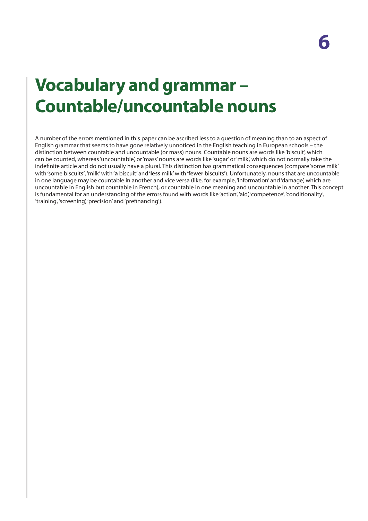# **Vocabulary and grammar – Countable/uncountable nouns**

A number of the errors mentioned in this paper can be ascribed less to a question of meaning than to an aspect of English grammar that seems to have gone relatively unnoticed in the English teaching in European schools – the distinction between countable and uncountable (or mass) nouns. Countable nouns are words like 'biscuit', which can be counted, whereas 'uncountable', or 'mass' nouns are words like 'sugar' or 'milk', which do not normally take the indefinite article and do not usually have a plural. This distinction has grammatical consequences (compare 'some milk' with 'some biscuit**s'**, 'milk' with '**a** biscuit' and '**less** milk' with '**fewer** biscuits'). Unfortunately, nouns that are uncountable in one language may be countable in another and vice versa (like, for example, 'information' and 'damage', which are uncountable in English but countable in French), or countable in one meaning and uncountable in another. This concept is fundamental for an understanding of the errors found with words like 'action', 'aid', 'competence', 'conditionality', 'training', 'screening', 'precision' and 'prefinancing').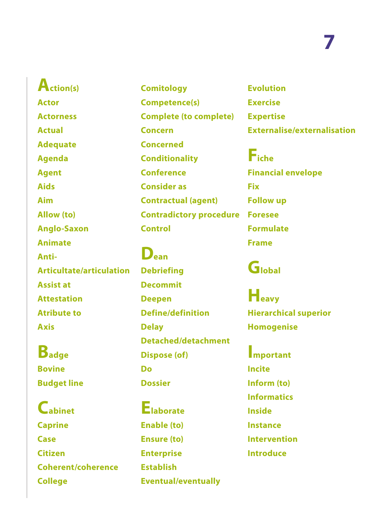**[Action\(s\)](#page-8-0) [Actor](#page-8-0) [Actorness](#page-9-0) [Actual](#page-9-0) [Adequate](#page-10-0) [Agenda](#page-10-0) [Agent](#page-10-0) [Aids](#page-11-0) [Aim](#page-11-0) [Allow \(to\)](#page-11-0) [Anglo-Saxon](#page-12-0) [Animate](#page-12-0) [Anti-](#page-13-0)[Articultate/articulation](#page-13-0) [Assist at](#page-14-0) [Attestation](#page-14-0) [Atribute to](#page-15-0) [Axis](#page-15-0)**

**[Badge](#page-16-0) [Bovine](#page-16-0) [Budget line](#page-16-0)**

**[Cabinet](#page-17-0) [Caprine](#page--1-0) [Case](#page-17-0) [Citizen](#page-18-0) [Coherent/coherence](#page-18-0) [College](#page-19-0)**

**[Comitology](#page-19-0) [Competence\(s\)](#page-19-0) [Complete \(to complete\)](#page-20-0) [Concern](#page-20-0) [Concerned](#page-21-0) [Conditionality](#page-21-0) [Conference](#page-22-0) [Consider as](#page-22-0) [Contractual \(agent\)](#page-22-0) [Contradictory procedure](#page-23-0) [Control](#page-24-0)**

**[Dean](#page-24-0) [Debriefing](#page-25-0) [Decommit](#page-25-0) [Deepen](#page-25-0) [Define/definition](#page-26-0) [Delay](#page-26-0) [Detached/detachment](#page-27-0) [Dispose \(of\)](#page-27-0) [Do](#page-27-0) [Dossier](#page-28-0)**

**[Elaborate](#page-28-0) [Enable \(to\)](#page-11-0) [Ensure \(to\)](#page-29-0) [Enterprise](#page-29-0) [Establish](#page-29-0) [Eventual/eventually](#page-30-0)** **[Evolution](#page-30-0) [Exercise](#page-31-0) [Expertise](#page-31-0) [Externalise/externalisation](#page-31-0)**

**[Fiche](#page-32-0) [Financial envelope](#page-32-0) [Fix](#page-33-0) [Follow up](#page-33-0) [Foresee](#page-34-0) [Formulate](#page-34-0) [Frame](#page-35-0)**

**[Global](#page-35-0)**

**[Heavy](#page-35-0) [Hierarchical superior](#page-36-0) [Homogenise](#page-36-0)**

**[Important](#page-36-0) [Incite](#page-37-0) [Inform \(to\)](#page-37-0) [Informatics](#page-37-0) [Inside](#page-38-0) [Instance](#page-38-0) [Intervention](#page-38-0) [Introduce](#page-39-0)**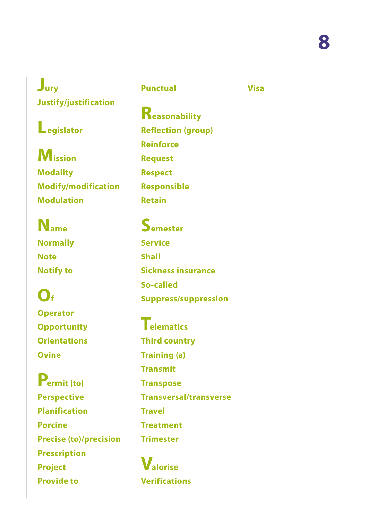**[Visa](#page-57-0)**

**[Jury](#page-39-0) [Justify/justification](#page-40-0)**

# **[Legislator](#page-40-0)**

**[Mission](#page-41-0) [Modality](#page-41-0) [Modify/modification](#page-41-0) [Modulation](#page-42-0)**

**[Name](#page-42-0) [Normally](#page-43-0) [Note](#page-43-0) [Notify to](#page-44-0)**

**[Of](#page-44-0) [Operator](#page-45-0) [Opportunity](#page-45-0) [Orientations](#page-45-0) [Ovine](#page--1-0)**

**[Permit \(to\)](#page-11-0) [Perspective](#page-46-0) [Planification](#page-46-0) [Porcine](#page--1-0) [Precise \(to\)/precision](#page-46-0) [Prescription](#page-47-0) [Project](#page-47-0) [Provide to](#page--1-0)**

**[Punctual](#page--1-0)**

**[Reasonability](#page-48-0) [Reflection \(group\)](#page-49-0) [Reinforce](#page-49-0) [Request](#page-49-0) [Respect](#page-50-0) [Responsible](#page-50-0) [Retain](#page-51-0)**

**[Semester](#page-51-0) [Service](#page-51-0) [Shall](#page-52-0) [Sickness insurance](#page-52-0) [So-called](#page-53-0) [Suppress/suppression](#page-53-0)**

**[Telematics](#page-37-0) [Third country](#page-54-0) [Training \(a\)](#page-54-0) [Transmit](#page-54-0) [Transpose](#page-55-0) [Transversal/transverse](#page-55-0) [Travel](#page-56-0) [Treatment](#page-56-0) [Trimester](#page-51-0)**

**[Valorise](#page-57-0) [Verifications](#page-57-0)**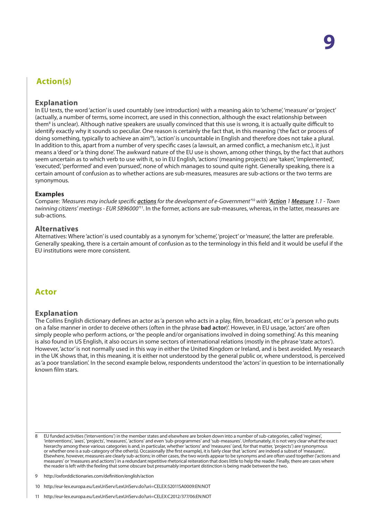# <span id="page-8-0"></span>**Action(s)**

#### **Explanation**

In EU texts, the word 'action' is used countably (see introduction) with a meaning akin to 'scheme', 'measure' or 'project' (actually, a number of terms, some incorrect, are used in this connection, although the exact relationship between them<sup>8</sup> is unclear). Although native speakers are usually convinced that this use is wrong, it is actually quite difficult to identify exactly why it sounds so peculiar. One reason is certainly the fact that, in this meaning ('the fact or process of doing something, typically to achieve an aim'9 ), 'action' is uncountable in English and therefore does not take a plural. In addition to this, apart from a number of very specific cases (a lawsuit, an armed conflict, a mechanism etc.), it just means a 'deed' or 'a thing done'. The awkward nature of the EU use is shown, among other things, by the fact that authors seem uncertain as to which verb to use with it, so in EU English, 'actions' (meaning projects) are 'taken', 'implemented', 'executed', 'performed' and even 'pursued', none of which manages to sound quite right. Generally speaking, there is a certain amount of confusion as to whether actions are sub-measures, measures are sub-actions or the two terms are synonymous.

#### **Examples**

Compare: *'Measures may include specific actions for the development of e-Government'*<sup>10</sup> *with 'Action 1 Measure 1.1 - Town twinning citizens' meetings - EUR 5896000'*<sup>11</sup>*.* In the former, actions are sub-measures, whereas, in the latter, measures are sub-actions.

#### **Alternatives**

Alternatives: Where 'action' is used countably as a synonym for 'scheme', 'project' or 'measure', the latter are preferable. Generally speaking, there is a certain amount of confusion as to the terminology in this field and it would be useful if the EU institutions were more consistent.

## **Actor**

#### **Explanation**

The Collins English dictionary defines an actor as 'a person who acts in a play, film, broadcast, etc.' or 'a person who puts on a false manner in order to deceive others (often in the phrase **bad actor**)'. However, in EU usage, 'actors' are often simply people who perform actions, or 'the people and/or organisations involved in doing something'. As this meaning is also found in US English, it also occurs in some sectors of international relations (mostly in the phrase 'state actors'). However, 'actor' is not normally used in this way in either the United Kingdom or Ireland, and is best avoided. My research in the UK shows that, in this meaning, it is either not understood by the general public or, where understood, is perceived as 'a poor translation'. In the second example below, respondents understood the 'actors' in question to be internationally known film stars.

8 EU funded activities ('interventions') in the member states and elsewhere are broken down into a number of sub-categories, called 'regimes', 'interventions', 'axes', 'projects', 'measures', 'actions' and even 'sub-programmes' and 'sub-measures'. Unfortunately, it is not very clear what the exact hierarchy among these various categories is and, in particular, whether 'actions' and 'measures' (and, for that matter, 'projects') are synonymous or whether one is a sub-category of the other(s). Occasionally (the first example), it is fairly clear that 'actions' are indeed a subset of 'measures'. Elsewhere, however, measures are clearly sub-actions; in other cases, the two words appear to be synonyms and are often used together ('actions and measures' or 'measures and actions') in a redundant repetitive rhetorical reiteration that does little to help the reader. Finally, there are cases where the reader is left with the feeling that some obscure but presumably important distinction is being made between the two.

9 http://oxforddictionaries.com/definition/english/action

10 http://eur-lex.europa.eu/LexUriServ/LexUriServ.do?uri=CELEX:52011SA0009:EN:NOT

<sup>11</sup> http://eur-lex.europa.eu/LexUriServ/LexUriServ.do?uri=CELEX:C2012/377/06:EN:NOT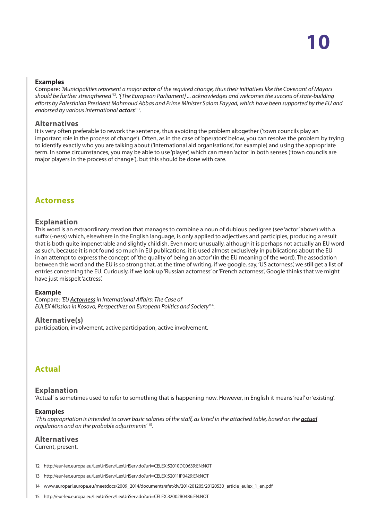#### <span id="page-9-0"></span>**Examples**

Compare: *'Municipalities represent a major actor of the required change, thus their initiatives like the Covenant of Mayors should be further strengthened'*<sup>12</sup>*. '[The European Parliament] ... acknowledges and welcomes the success of state-building efforts by Palestinian President Mahmoud Abbas and Prime Minister Salam Fayyad, which have been supported by the EU and endorsed by various international actors'* 13*.*

#### **Alternatives**

It is very often preferable to rework the sentence, thus avoiding the problem altogether ('town councils play an important role in the process of change'). Often, as in the case of 'operators' below, you can resolve the problem by trying to identify exactly who you are talking about ('international aid organisations', for example) and using the appropriate term. In some circumstances, you may be able to use 'player', which can mean 'actor' in both senses ('town councils are major players in the process of change'), but this should be done with care.

## **Actorness**

### **Explanation**

This word is an extraordinary creation that manages to combine a noun of dubious pedigree (see 'actor' above) with a suffix (-ness) which, elsewhere in the English language, is only applied to adjectives and participles, producing a result that is both quite impenetrable and slightly childish. Even more unusually, although it is perhaps not actually an EU word as such, because it is not found so much in EU publications, it is used almost exclusively in publications about the EU in an attempt to express the concept of 'the quality of being an actor' (in the EU meaning of the word). The association between this word and the EU is so strong that, at the time of writing, if we google, say, 'US actorness', we still get a list of entries concerning the EU. Curiously, if we look up 'Russian actorness' or 'French actorness', Google thinks that we might have just misspelt 'actress'.

#### **Example**

Compare: *'EU Actorness in International Affairs: The Case of EULEX Mission in Kosovo, Perspectives on European Politics and Society'*<sup>14</sup>*.*

#### **Alternative(s)**

participation, involvement, active participation, active involvement.

# **Actual**

#### **Explanation**

'Actual' is sometimes used to refer to something that is happening now. However, in English it means 'real' or 'existing'.

#### **Examples**

'This appropriation is intended to cover basic salaries of the staff, as listed in the attached table, based on the **actual** *regulations and on the probable adjustments'* 15.

## **Alternatives**

#### Current, present.

12 http://eur-lex.europa.eu/LexUriServ/LexUriServ.do?uri=CELEX:52010DC0639:EN:NOT

13 http://eur-lex.europa.eu/LexUriServ/LexUriServ.do?uri=CELEX:52011IP0429:EN:NOT

14 www.europarl.europa.eu/meetdocs/2009\_2014/documents/afet/dv/201/201205/20120530\_article\_eulex\_1\_en.pdf

15 http://eur-lex.europa.eu/LexUriServ/LexUriServ.do?uri=CELEX:32002B0486:EN:NOT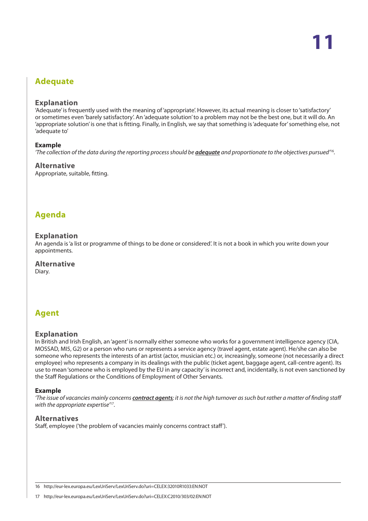# <span id="page-10-0"></span>**Adequate**

#### **Explanation**

'Adequate' is frequently used with the meaning of 'appropriate'. However, its actual meaning is closer to 'satisfactory' or sometimes even 'barely satisfactory'. An 'adequate solution' to a problem may not be the best one, but it will do. An 'appropriate solution' is one that is fitting. Finally, in English, we say that something is 'adequate for' something else, not 'adequate to'

#### **Example**

*'The collection of the data during the reporting process should be adequate and proportionate to the objectives pursued'*<sup>16</sup>*.*

#### **Alternative**

Appropriate, suitable, fitting.

## **Agenda**

#### **Explanation**

An agenda is 'a list or programme of things to be done or considered'. It is not a book in which you write down your appointments.

#### **Alternative**

Diary.

# **Agent**

#### **Explanation**

In British and Irish English, an 'agent' is normally either someone who works for a government intelligence agency (CIA, MOSSAD, MI5, G2) or a person who runs or represents a service agency (travel agent, estate agent). He/she can also be someone who represents the interests of an artist (actor, musician etc.) or, increasingly, someone (not necessarily a direct employee) who represents a company in its dealings with the public (ticket agent, baggage agent, call-centre agent). Its use to mean 'someone who is employed by the EU in any capacity' is incorrect and, incidentally, is not even sanctioned by the Staff Regulations or the Conditions of Employment of Other Servants.

#### **Example**

*'The issue of vacancies mainly concerns contract agents; it is not the high turnover as such but rather a matter of finding staff with the appropriate expertise'*<sup>17</sup>*.*

#### **Alternatives**

Staff, employee ('the problem of vacancies mainly concerns contract staff').

16 http://eur-lex.europa.eu/LexUriServ/LexUriServ.do?uri=CELEX:32010R1033:EN:NOT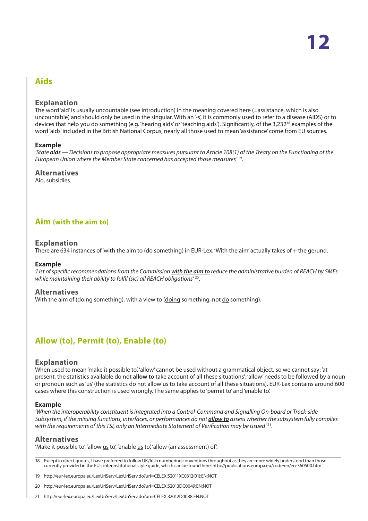# <span id="page-11-0"></span>**Aids**

#### **Explanation**

The word 'aid' is usually uncountable (see introduction) in the meaning covered here (=assistance, which is also uncountable) and should only be used in the singular. With an '-s', it is commonly used to refer to a disease (AIDS) or to devices that help you do something (e.g. 'hearing aids' or 'teaching aids'). Significantly, of the 3,232<sup>18</sup> examples of the word 'aids' included in the British National Corpus, nearly all those used to mean 'assistance' come from EU sources.

#### **Example**

*'State aids — Decisions to propose appropriate measures pursuant to Article 108(1) of the Treaty on the Functioning of the European Union where the Member State concerned has accepted those measures'* 19.

#### **Alternatives**

Aid, subsidies.

## **Aim (with the aim to)**

#### **Explanation**

There are 634 instances of 'with the aim to (do something) in EUR-Lex. 'With the aim' actually takes of + the gerund.

#### **Example**

*'List of specific recommendations from the Commission with the aim to reduce the administrative burden of REACH by SMEs while maintaining their ability to fulfil (sic) all REACH obligations'* 20.

#### **Alternatives**

With the aim of (doing something), with a view to (doing something, not do something).

# **Allow (to), Permit (to), Enable (to)**

#### **Explanation**

When used to mean 'make it possible to', 'allow' cannot be used without a grammatical object, so we cannot say: 'at present, the statistics available do not **allow to** take account of all these situations'; 'allow' needs to be followed by a noun or pronoun such as 'us' (the statistics do not allow us to take account of all these situations). EUR-Lex contains around 600 cases where this construction is used wrongly. The same applies to 'permit to' and 'enable to'.

#### **Example**

*'When the interoperability constituent is integrated into a Control-Command and Signalling On-board or Track-side Subsystem, if the missing functions, interfaces, or performances do not allow to assess whether the subsystem fully complies with the requirements of this TSI, only an Intermediate Statement of Verification may be issued'* 21.

#### **Alternatives**

'Make it possible to', 'allow us to', 'enable us to', 'allow (an assessment) of'.

18 Except in direct quotes, I have preferred to follow UK/Irish numbering conventions throughout as they are more widely understood than those currently provided in the EU's interinstitutional style guide, which can be found here: http://publications.europa.eu/code/en/en-360500.htm .

19 http://eur-lex.europa.eu/LexUriServ/LexUriServ.do?uri=CELEX:52011XC0312(01):EN:NOT

20 http://eur-lex.europa.eu/LexUriServ/LexUriServ.do?uri=CELEX:52013DC0049:EN:NOT

21 http://eur-lex.europa.eu/LexUriServ/LexUriServ.do?uri=CELEX:32012D0088:EN:NOT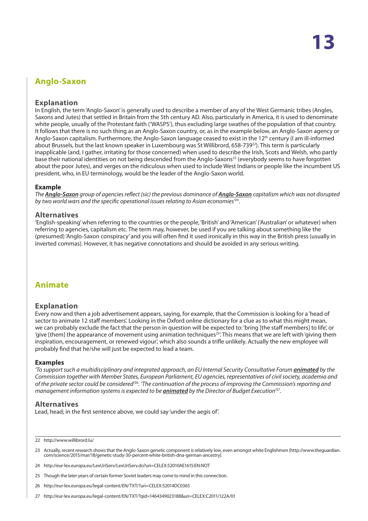# <span id="page-12-0"></span>**Anglo-Saxon**

#### **Explanation**

In English, the term 'Anglo-Saxon' is generally used to describe a member of any of the West Germanic tribes (Angles, Saxons and Jutes) that settled in Britain from the 5th century AD. Also, particularly in America, it is used to denominate white people, usually of the Protestant faith ('WASPS'), thus excluding large swathes of the population of that country. It follows that there is no such thing as an Anglo-Saxon country, or, as in the example below, an Anglo-Saxon agency or Anglo-Saxon capitalism. Furthermore, the Anglo-Saxon language ceased to exist in the 12<sup>th</sup> century (I am ill-informed about Brussels, but the last known speaker in Luxembourg was St Willibrord, 658-739<sup>22</sup>). This term is particularly inapplicable (and, I gather, irritating for those concerned) when used to describe the Irish, Scots and Welsh, who partly base their national identities on not being descended from the Anglo-Saxons<sup>23</sup> (everybody seems to have forgotten about the poor Jutes), and verges on the ridiculous when used to include West Indians or people like the incumbent US president, who, in EU terminology, would be the leader of the Anglo-Saxon world.

#### **Example**

*The Anglo-Saxon group of agencies reflect (sic) the previous dominance of Anglo-Saxon capitalism which was not disrupted by two world wars and the specific operational issues relating to Asian economies'*24.

#### **Alternatives**

'English-speaking' when referring to the countries or the people, 'British' and 'American' ('Australian' or whatever) when referring to agencies, capitalism etc. The term may, however, be used if you are talking about something like the (presumed) 'Anglo-Saxon conspiracy' and you will often find it used ironically in this way in the British press (usually in inverted commas). However, it has negative connotations and should be avoided in any serious writing.

## **Animate**

#### **Explanation**

Every now and then a job advertisement appears, saying, for example, that the Commission is looking for a 'head of sector to animate 12 staff members'. Looking in the Oxford online dictionary for a clue as to what this might mean, we can probably exclude the fact that the person in question will be expected to: 'bring [the staff members] to life', or 'give [them] the appearance of movement using animation techniques<sup>25</sup>'. This means that we are left with 'giving them inspiration, encouragement, or renewed vigour', which also sounds a trifle unlikely. Actually the new employee will probably find that he/she will just be expected to lead a team.

#### **Examples**

*'To support such a multidisciplinary and integrated approach, an EU Internal Security Consultative Forum animated by the Commission together with Member States, European Parliament, EU agencies, representatives of civil society, academia and of the private sector could be considered'*<sup>26</sup>*. 'The continuation of the process of improving the Commission's reporting and management information systems is expected to be animated by the Director of Budget Execution'*27.

#### **Alternatives**

Lead, head; in the first sentence above, we could say 'under the aegis of'.

22 http://www.willibrord.lu/

- 24 http://eur-lex.europa.eu/LexUriServ/LexUriServ.do?uri=CELEX:52010AE1615:EN:NOT
- 25 Though the later years of certain former Soviet leaders may come to mind in this connection.
- 26 http://eur-lex.europa.eu/legal-content/EN/TXT/?uri=CELEX:52014DC0365
- 27 http://eur-lex.europa.eu/legal-content/EN/TXT/?qid=1464349023188&uri=CELEX:C2011/122A/01

<sup>23</sup> Actually, recent research shows that the Anglo-Saxon genetic component is relatively low, even amongst white Englishmen (http://www.theguardian. com/science/2015/mar/18/genetic-study-30-percent-white-british-dna-german-ancestry).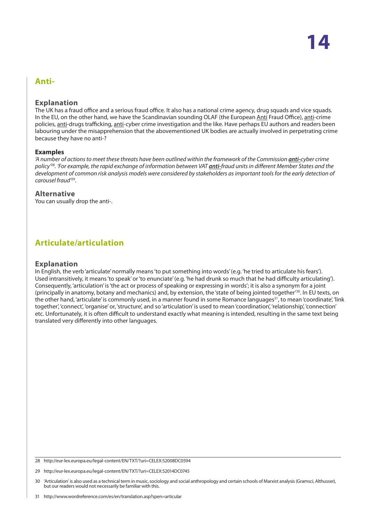## <span id="page-13-0"></span>**Anti-**

#### **Explanation**

The UK has a fraud office and a serious fraud office. It also has a national crime agency, drug squads and vice squads. In the EU, on the other hand, we have the Scandinavian sounding OLAF (the European Anti Fraud Office), anti-crime policies, anti-drugs trafficking, anti-cyber crime investigation and the like. Have perhaps EU authors and readers been labouring under the misapprehension that the abovementioned UK bodies are actually involved in perpetrating crime because they have no anti-?

#### **Examples**

*'A number of actions to meet these threats have been outlined within the framework of the Commission <i>anti-cyber crime policy'*<sup>28</sup>*. 'For example, the rapid exchange of information between VAT anti-fraud units in different Member States and the development of common risk analysis models were considered by stakeholders as important tools for the early detection of carousel fraud'*29.

#### **Alternative**

You can usually drop the anti-.

# **Articulate/articulation**

#### **Explanation**

In English, the verb 'articulate' normally means 'to put something into words' (e.g. 'he tried to articulate his fears'). Used intransitively, it means 'to speak' or 'to enunciate' (e.g. 'he had drunk so much that he had difficulty articulating'). Consequently, 'articulation' is 'the act or process of speaking or expressing in words'; it is also a synonym for a joint (principally in anatomy, botany and mechanics) and, by extension, the 'state of being jointed together'30. In EU texts, on the other hand, 'articulate' is commonly used, in a manner found in some Romance languages<sup>31</sup>, to mean 'coordinate', 'link together', 'connect', 'organise' or, 'structure', and so 'articulation' is used to mean 'coordination', 'relationship', 'connection' etc. Unfortunately, it is often difficult to understand exactly what meaning is intended, resulting in the same text being translated very differently into other languages.

<sup>28</sup> http://eur-lex.europa.eu/legal-content/EN/TXT/?uri=CELEX:52008DC0594

<sup>29</sup> http://eur-lex.europa.eu/legal-content/EN/TXT/?uri=CELEX:52014DC0745

<sup>30</sup> 'Articulation' is also used as a technical term in music, sociology and social anthropology and certain schools of Marxist analysis (Gramsci, Althusser), but our readers would not necessarily be familiar with this.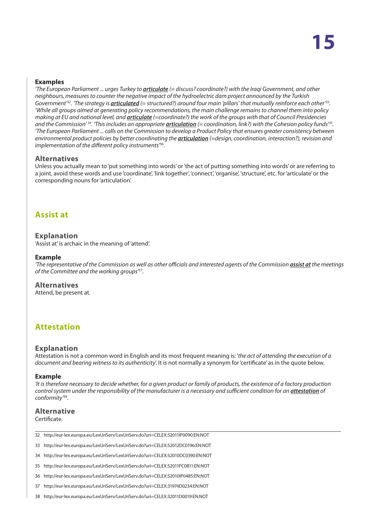#### <span id="page-14-0"></span>**Examples**

*'The European Parliament ... urges Turkey to articulate (= discuss? coordinate?) with the Iraqi Government, and other neighbours, measures to counter the negative impact of the hydroelectric dam project announced by the Turkish Government'32. 'The strategy is articulated (= structured?) around four main 'pillars' that mutually reinforce each other'33. 'While all groups aimed at generating policy recommendations, the main challenge remains to channel them into policy making at EU and national level, and articulate (=coordinate?) the work of the groups with that of Council Presidencies and the Commission' 34. 'This includes an appropriate articulation (= coordination, link?) with the Cohesion policy funds'35. 'The European Parliament ... calls on the Commission to develop a Product Policy that ensures greater consistency between environmental product policies by better coordinating the articulation (=design, coordination, interaction?), revision and implementation of the different policy instruments'*36.

#### **Alternatives**

Unless you actually mean to 'put something into words' or 'the act of putting something into words' or are referring to a joint, avoid these words and use 'coordinate', 'link together', 'connect', 'organise', 'structure', etc. for 'articulate' or the corresponding nouns for 'articulation'.

## **Assist at**

#### **Explanation**

'Assist at' is archaic in the meaning of 'attend'.

#### **Example**

*'The representative of the Commission as well as other officials and interested agents of the Commission assist at the meetings of the Committee and the working groups'*37.

## **Alternatives**

Attend, be present at.

## **Attestation**

#### **Explanation**

Attestation is not a common word in English and its most frequent meaning is: '*the act of attending the execution of a document and bearing witness to its authenticity*'. It is not normally a synonym for 'certificate' as in the quote below.

#### **Example**

*'It is therefore necessary to decide whether, for a given product or family of products, the existence of a factory production control system under the responsibility of the manufacturer is a necessary and sufficient condition for an attestation of conformity'*38.

#### **Alternative**

Certificate.

- 32 http://eur-lex.europa.eu/LexUriServ/LexUriServ.do?uri=CELEX:52011IP0090:EN:NOT
- 33 http://eur-lex.europa.eu/LexUriServ/LexUriServ.do?uri=CELEX:52012DC0196:EN:NOT
- 34 http://eur-lex.europa.eu/LexUriServ/LexUriServ.do?uri=CELEX:52010DC0390:EN:NOT
- 35 http://eur-lex.europa.eu/LexUriServ/LexUriServ.do?uri=CELEX:52011PC0811:EN:NOT
- 36 http://eur-lex.europa.eu/LexUriServ/LexUriServ.do?uri=CELEX:52010IP0485:EN:NOT
- 37 http://eur-lex.europa.eu/LexUriServ/LexUriServ.do?uri=CELEX:31974D0234:EN:NOT
- 38 http://eur-lex.europa.eu/LexUriServ/LexUriServ.do?uri=CELEX:32011D0019:EN:NOT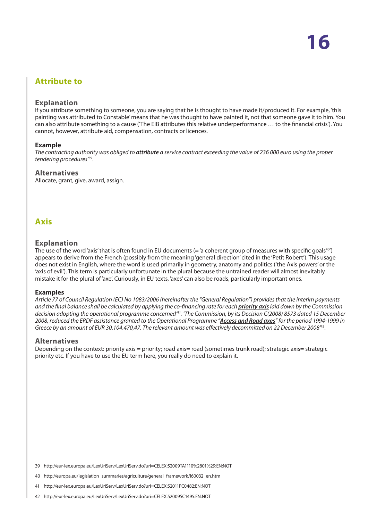# <span id="page-15-0"></span>**Attribute to**

#### **Explanation**

If you attribute something to someone, you are saying that he is thought to have made it/produced it. For example, 'this painting was attributed to Constable' means that he was thought to have painted it, not that someone gave it to him. You can also attribute something to a cause ('The EIB attributes this relative underperformance … to the financial crisis'). You cannot, however, attribute aid, compensation, contracts or licences.

#### **Example**

*The contracting authority was obliged to attribute a service contract exceeding the value of 236 000 euro using the proper tendering procedures'*39.

#### **Alternatives**

Allocate, grant, give, award, assign.

# **Axis**

#### **Explanation**

The use of the word 'axis' that is often found in EU documents (= 'a coherent group of measures with specific goals $40'$ ) appears to derive from the French (possibly from the meaning 'general direction' cited in the 'Petit Robert'). This usage does not exist in English, where the word is used primarily in geometry, anatomy and politics ('the Axis powers' or the 'axis of evil'). This term is particularly unfortunate in the plural because the untrained reader will almost inevitably mistake it for the plural of 'axe'. Curiously, in EU texts, 'axes' can also be roads, particularly important ones.

#### **Examples**

*Article 77 of Council Regulation (EC) No 1083/2006 (hereinafter the "General Regulation") provides that the interim payments and the final balance shall be calculated by applying the co-financing rate for each priority axis laid down by the Commission decision adopting the operational programme concerned'41. 'The Commission, by its Decision C(2008) 8573 dated 15 December 2008, reduced the ERDF assistance granted to the Operational Programme "Access and Road axes" for the period 1994-1999 in Greece by an amount of EUR 30.104.470,47. The relevant amount was effectively decommitted on 22 December 2008'*42.

#### **Alternatives**

Depending on the context: priority axis = priority; road axis= road (sometimes trunk road); strategic axis= strategic priority etc. If you have to use the EU term here, you really do need to explain it.

<sup>39</sup> http://eur-lex.europa.eu/LexUriServ/LexUriServ.do?uri=CELEX:52009TA1110%2801%29:EN:NOT

<sup>40</sup> http://europa.eu/legislation\_summaries/agriculture/general\_framework/l60032\_en.htm

<sup>41</sup> http://eur-lex.europa.eu/LexUriServ/LexUriServ.do?uri=CELEX:52011PC0482:EN:NOT

<sup>42</sup> http://eur-lex.europa.eu/LexUriServ/LexUriServ.do?uri=CELEX:52009SC1495:EN:NOT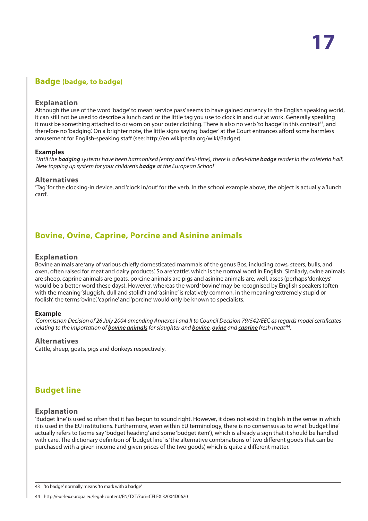## <span id="page-16-0"></span>**Badge (badge, to badge)**

#### **Explanation**

Although the use of the word 'badge' to mean 'service pass' seems to have gained currency in the English speaking world, it can still not be used to describe a lunch card or the little tag you use to clock in and out at work. Generally speaking it must be something attached to or worn on your outer clothing. There is also no verb 'to badge' in this context<sup>43</sup>, and therefore no 'badging'. On a brighter note, the little signs saying 'badger' at the Court entrances afford some harmless amusement for English-speaking staff (see: http://en.wikipedia.org/wiki/Badger).

#### **Examples**

*'Until the badging systems have been harmonised (entry and flexi-time), there is a flexi-time badge reader in the cafeteria hall'. 'New topping up system for your children's badge at the European School'*

#### **Alternatives**

'Tag' for the clocking-in device, and 'clock in/out' for the verb. In the school example above, the object is actually a 'lunch card'.

# **Bovine, Ovine, Caprine, Porcine and Asinine animals**

#### **Explanation**

Bovine animals are 'any of various chiefly domesticated mammals of the genus Bos, including cows, steers, bulls, and oxen, often raised for meat and dairy products'. So are 'cattle', which is the normal word in English. Similarly, ovine animals are sheep, caprine animals are goats, porcine animals are pigs and asinine animals are, well, asses (perhaps 'donkeys' would be a better word these days). However, whereas the word 'bovine' may be recognised by English speakers (often with the meaning 'sluggish, dull and stolid') and 'asinine' is relatively common, in the meaning 'extremely stupid or foolish', the terms 'ovine', 'caprine' and 'porcine' would only be known to specialists.

#### **Example**

*'Commission Decision of 26 July 2004 amending Annexes I and II to Council Decision 79/542/EEC as regards model certificates relating to the importation of bovine animals for slaughter and bovine, ovine and caprine fresh meat'*44.

#### **Alternatives**

Cattle, sheep, goats, pigs and donkeys respectively.

# **Budget line**

#### **Explanation**

'Budget line' is used so often that it has begun to sound right. However, it does not exist in English in the sense in which it is used in the EU institutions. Furthermore, even within EU terminology, there is no consensus as to what 'budget line' actually refers to (some say 'budget heading' and some 'budget item'), which is already a sign that it should be handled with care. The dictionary definition of 'budget line' is 'the alternative combinations of two different goods that can be purchased with a given income and given prices of the two goods', which is quite a different matter.

<sup>43</sup> 'to badge' normally means 'to mark with a badge'

<sup>44</sup> http://eur-lex.europa.eu/legal-content/EN/TXT/?uri=CELEX:32004D0620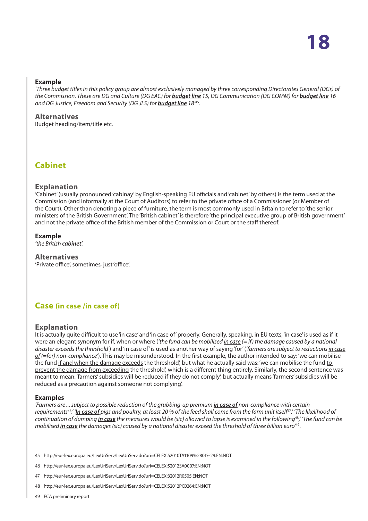#### <span id="page-17-0"></span>**Example**

*'Three budget titles in this policy group are almost exclusively managed by three corresponding Directorates General (DGs) of the Commission. These are DG and Culture (DG EAC) for budget line 15, DG Communication (DG COMM) for budget line 16 and DG Justice, Freedom and Security (DG JLS) for budget line 18'*45.

#### **Alternatives**

Budget heading/item/title etc.

# **Cabinet**

#### **Explanation**

'Cabinet' (usually pronounced 'cabinay' by English-speaking EU officials and 'cabinet' by others) is the term used at the Commission (and informally at the Court of Auditors) to refer to the private office of a Commissioner (or Member of the Court). Other than denoting a piece of furniture, the term is most commonly used in Britain to refer to 'the senior ministers of the British Government'. The 'British cabinet' is therefore 'the principal executive group of British government' and not the private office of the British member of the Commission or Court or the staff thereof.

#### **Example**

*'the British cabinet'.*

#### **Alternatives**

'Private office', sometimes, just 'office'.

## **Case (in case /in case of)**

#### **Explanation**

It is actually quite difficult to use 'in case' and 'in case of' properly. Generally, speaking, in EU texts, 'in case' is used as if it were an elegant synonym for if, when or where (*'the fund can be mobilised in case (= if) the damage caused by a national disaster exceeds the threshold'*) and 'in case of' is used as another way of saying 'for' (*'farmers are subject to reductions in case of (=for) non-compliance'*). This may be misunderstood. In the first example, the author intended to say: 'we can mobilise the fund if and when the damage exceeds the threshold', but what he actually said was: 'we can mobilise the fund to prevent the damage from exceeding the threshold', which is a different thing entirely. Similarly, the second sentence was meant to mean: 'farmers' subsidies will be reduced if they do not comply', but actually means 'farmers' subsidies will be reduced as a precaution against someone not complying'.

#### **Examples**

*'Farmers are ... subject to possible reduction of the grubbing-up premium in case of non-compliance with certain requirements*<sup>46</sup>*.' 'In case of pigs and poultry, at least 20 % of the feed shall come from the farm unit itself*<sup>47</sup>*.' 'The likelihood of continuation of dumping in case the measures would be (sic) allowed to lapse is examined in the following*<sup>48</sup>*,' 'The fund can be mobilised in case the damages (sic) caused by a national disaster exceed the threshold of three billion euro'*49.

- 47 http://eur-lex.europa.eu/LexUriServ/LexUriServ.do?uri=CELEX:32012R0505:EN:NOT
- 48 http://eur-lex.europa.eu/LexUriServ/LexUriServ.do?uri=CELEX:52012PC0264:EN:NOT
- 49 ECA preliminary report

<sup>45</sup> http://eur-lex.europa.eu/LexUriServ/LexUriServ.do?uri=CELEX:52010TA1109%2801%29:EN:NOT

<sup>46</sup> http://eur-lex.europa.eu/LexUriServ/LexUriServ.do?uri=CELEX:52012SA0007:EN:NOT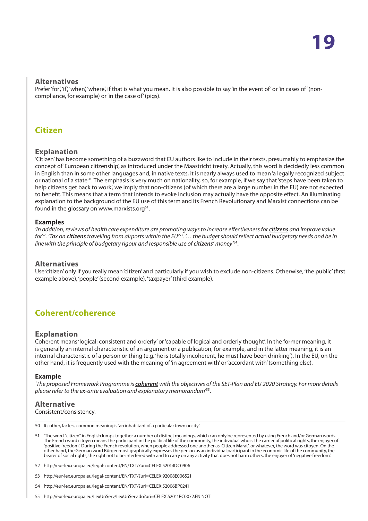#### <span id="page-18-0"></span>**Alternatives**

Prefer 'for', 'if', 'when', 'where', if that is what you mean. It is also possible to say 'in the event of' or 'in cases of' (noncompliance, for example) or 'in the case of' (pigs).

## **Citizen**

#### **Explanation**

'Citizen' has become something of a buzzword that EU authors like to include in their texts, presumably to emphasize the concept of 'European citizenship', as introduced under the Maastricht treaty. Actually, this word is decidedly less common in English than in some other languages and, in native texts, it is nearly always used to mean 'a legally recognized subject or national of a state<sup>50</sup>. The emphasis is very much on nationality, so, for example, if we say that 'steps have been taken to help citizens get back to work', we imply that non-citizens (of which there are a large number in the EU) are not expected to benefit. This means that a term that intends to evoke inclusion may actually have the opposite effect. An illuminating explanation to the background of the EU use of this term and its French Revolutionary and Marxist connections can be found in the glossary on www.marxists.org $51$ .

#### **Examples**

*'In addition, reviews of health care expenditure are promoting ways to increase effectiveness for citizens and improve value for*<sup>52</sup>*. 'Tax on citizens travelling from airports within the EU'*<sup>53</sup>*. '… the budget should reflect actual budgetary needs and be in line with the principle of budgetary rigour and responsible use of citizens' money'*54.

#### **Alternatives**

Use 'citizen' only if you really mean 'citizen' and particularly if you wish to exclude non-citizens. Otherwise, 'the public' (first example above), 'people' (second example), 'taxpayer' (third example).

# **Coherent/coherence**

#### **Explanation**

Coherent means 'logical; consistent and orderly' or 'capable of logical and orderly thought'. In the former meaning, it is generally an internal characteristic of an argument or a publication, for example, and in the latter meaning, it is an internal characteristic of a person or thing (e.g. 'he is totally incoherent, he must have been drinking'). In the EU, on the other hand, it is frequently used with the meaning of 'in agreement with' or 'accordant with' (something else).

#### **Example**

*'The proposed Framework Programme is coherent with the objectives of the SET-Plan and EU 2020 Strategy. For more details please refer to the ex-ante evaluation and explanatory memorandum'*55.

#### **Alternative**

#### Consistent/consistency.

50 Its other, far less common meaning is 'an inhabitant of a particular town or city'.

- 51 'The word "citizen" in English lumps together a number of distinct meanings, which can only be represented by using French and/or German words. The French word citoyen means the participant in the political life of the community, the individual who is the carrier of political rights, the enjoyer of 'positive freedom'. During the French revolution, when people addressed one another as 'Citizen Marat', or whatever, the word was citoyen. On the other hand, the German word Bürger most graphically expresses the person as an individual participant in the economic life of the community, the bearer of social rights, the right not to be interfered with and to carry on any activity that does not harm others, the enjoyer of 'negative freedom'.
- 52 http://eur-lex.europa.eu/legal-content/EN/TXT/?uri=CELEX:52014DC0906
- 53 http://eur-lex.europa.eu/legal-content/EN/TXT/?uri=CELEX:92008E006521
- 54 http://eur-lex.europa.eu/legal-content/EN/TXT/?uri=CELEX:52006BP0241
- 55 http://eur-lex.europa.eu/LexUriServ/LexUriServ.do?uri=CELEX:52011PC0072:EN:NOT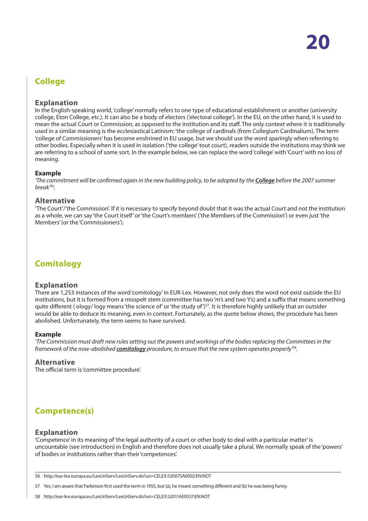# <span id="page-19-0"></span>**College**

#### **Explanation**

In the English-speaking world, 'college' normally refers to one type of educational establishment or another (university college, Eton College, etc.). It can also be a body of electors ('electoral college'). In the EU, on the other hand, it is used to mean the actual Court or Commission, as opposed to the institution and its staff. The only context where it is traditionally used in a similar meaning is the ecclesiastical Latinism: 'the college of cardinals (from Collegium Cardinalium). The term 'college of Commissioners' has become enshrined in EU usage, but we should use the word sparingly when referring to other bodies. Especially when it is used in isolation ('the college' tout court), readers outside the institutions may think we are referring to a school of some sort. In the example below, we can replace the word 'college' with 'Court' with no loss of meaning.

#### **Example**

*'The commitment will be confirmed again in the new building policy, to be adopted by the College before the 2007 summer break'*<sup>56</sup>*.*

#### **Alternative**

'The Court'/'the Commission'. If it is necessary to specify beyond doubt that it was the actual Court and not the institution as a whole, we can say 'the Court itself' or 'the Court's members' ('the Members of the Commission') or even just 'the Members' (or the 'Commissioners').

# **Comitology**

#### **Explanation**

There are 1,253 instances of the word 'comitology' in EUR-Lex. However, not only does the word not exist outside the EU institutions, but it is formed from a misspelt stem (committee has two 'm's and two 't's) and a suffix that means something quite different (ology/logy means 'the science of' or 'the study of')<sup>57</sup>. It is therefore highly unlikely that an outsider would be able to deduce its meaning, even in context. Fortunately, as the quote below shows, the procedure has been abolished. Unfortunately, the term seems to have survived.

#### **Example**

*'The Commission must draft new rules setting out the powers and workings of the bodies replacing the Committees in the framework of the now-abolished comitology procedure, to ensure that the new system operates properly'*<sup>58</sup>*.*

#### **Alternative**

The official term is 'committee procedure'.

# **Competence(s)**

#### **Explanation**

'Competence' in its meaning of 'the legal authority of a court or other body to deal with a particular matter' is uncountable (see introduction) in English and therefore does not usually take a plural. We normally speak of the 'powers' of bodies or institutions rather than their 'competences'.

57 Yes, I am aware that Parkinson first used the term in 1955, but (a), he meant something different and (b) he was being funny.

<sup>56</sup> http://eur-lex.europa.eu/LexUriServ/LexUriServ.do?uri=CELEX:52007SA0002:EN:NOT

<sup>58</sup> http://eur-lex.europa.eu/LexUriServ/LexUriServ.do?uri=CELEX:52011AE0537:EN:NOT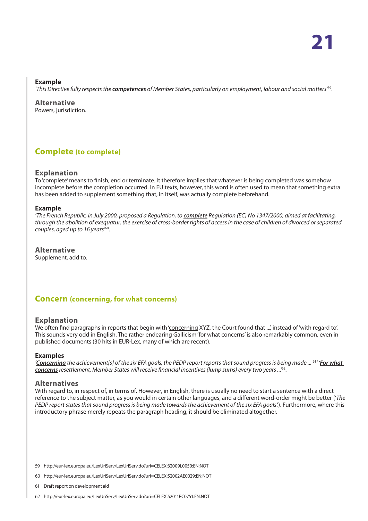#### <span id="page-20-0"></span>**Example**

*'This Directive fully respects the competences of Member States, particularly on employment, labour and social matters'*59.

**Alternative** Powers, jurisdiction.

# **Complete (to complete)**

#### **Explanation**

To 'complete' means to finish, end or terminate. It therefore implies that whatever is being completed was somehow incomplete before the completion occurred. In EU texts, however, this word is often used to mean that something extra has been added to supplement something that, in itself, was actually complete beforehand.

#### **Example**

'The French Republic, in July 2000, proposed a Regulation, to **complete** Regulation (EC) No 1347/2000, aimed at facilitating, *through the abolition of exequatur, the exercise of cross-border rights of access in the case of children of divorced or separated couples, aged up to 16 years'*60.

## **Alternative**

Supplement, add to.

## **Concern (concerning, for what concerns)**

#### **Explanation**

We often find paragraphs in reports that begin with 'concerning XYZ, the Court found that ...', instead of 'with regard to'. This sounds very odd in English. The rather endearing Gallicism 'for what concerns' is also remarkably common, even in published documents (30 hits in EUR-Lex, many of which are recent).

#### **Examples**

*'Concerning the achievement[s] of the six EFA goals, the PEDP report reports that sound progress is being made ...* <sup>61</sup>*' 'For what concerns resettlement, Member States will receive financial incentives (lump sums) every two years ...'*62.

#### **Alternatives**

With regard to, in respect of, in terms of. However, in English, there is usually no need to start a sentence with a direct reference to the subject matter, as you would in certain other languages, and a different word-order might be better ('*The PEDP report states that sound progress is being made towards the achievement of the six EFA goals*.'). Furthermore, where this introductory phrase merely repeats the paragraph heading, it should be eliminated altogether.

59 http://eur-lex.europa.eu/LexUriServ/LexUriServ.do?uri=CELEX:32009L0050:EN:NOT

60 http://eur-lex.europa.eu/LexUriServ/LexUriServ.do?uri=CELEX:52002AE0029:EN:NOT

61 Draft report on development aid

62 http://eur-lex.europa.eu/LexUriServ/LexUriServ.do?uri=CELEX:52011PC0751:EN:NOT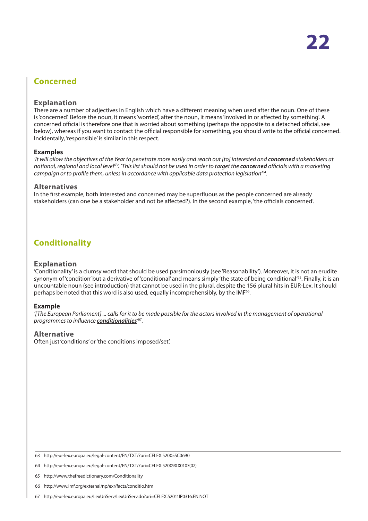# <span id="page-21-0"></span>**Concerned**

#### **Explanation**

There are a number of adjectives in English which have a different meaning when used after the noun. One of these is 'concerned'. Before the noun, it means 'worried', after the noun, it means 'involved in or affected by something'. A concerned official is therefore one that is worried about something (perhaps the opposite to a detached official, see below), whereas if you want to contact the official responsible for something, you should write to the official concerned. Incidentally, 'responsible' is similar in this respect.

#### **Examples**

*'It will allow the objectives of the Year to penetrate more easily and reach out [to] interested and concerned stakeholders at national, regional and local level*<sup>63</sup>*'. 'This list should not be used in order to target the concerned officials with a marketing campaign or to profile them, unless in accordance with applicable data protection legislation'*<sup>64</sup>*.*

#### **Alternatives**

In the first example, both interested and concerned may be superfluous as the people concerned are already stakeholders (can one be a stakeholder and not be affected?). In the second example, 'the officials concerned'.

# **Conditionality**

#### **Explanation**

'Conditionality' is a clumsy word that should be used parsimoniously (see 'Reasonability'). Moreover, it is not an erudite synonym of 'condition' but a derivative of 'conditional' and means simply 'the state of being conditional'<sup>65</sup>. Finally, it is an uncountable noun (see introduction) that cannot be used in the plural, despite the 156 plural hits in EUR-Lex. It should perhaps be noted that this word is also used, equally incomprehensibly, by the IMF<sup>66</sup>.

#### **Example**

*'[The European Parliament] ... calls for it to be made possible for the actors involved in the management of operational programmes to influence conditionalities'* 67*.*

#### **Alternative**

Often just 'conditions' or 'the conditions imposed/set'.

<sup>63</sup> http://eur-lex.europa.eu/legal-content/EN/TXT/?uri=CELEX:52005SC0690

<sup>64</sup> http://eur-lex.europa.eu/legal-content/EN/TXT/?uri=CELEX:52009XX0107(02)

<sup>65</sup> http://www.thefreedictionary.com/Conditionality

<sup>66</sup> http://www.imf.org/external/np/exr/facts/conditio.htm

<sup>67</sup> http://eur-lex.europa.eu/LexUriServ/LexUriServ.do?uri=CELEX:52011IP0316:EN:NOT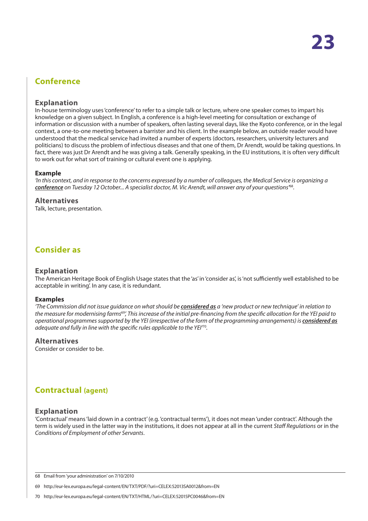# <span id="page-22-0"></span>**Conference**

#### **Explanation**

In-house terminology uses 'conference' to refer to a simple talk or lecture, where one speaker comes to impart his knowledge on a given subject. In English, a conference is a high-level meeting for consultation or exchange of information or discussion with a number of speakers, often lasting several days, like the Kyoto conference, or in the legal context, a one-to-one meeting between a barrister and his client. In the example below, an outside reader would have understood that the medical service had invited a number of experts (doctors, researchers, university lecturers and politicians) to discuss the problem of infectious diseases and that one of them, Dr Arendt, would be taking questions. In fact, there was just Dr Arendt and he was giving a talk. Generally speaking, in the EU institutions, it is often very difficult to work out for what sort of training or cultural event one is applying.

#### **Example**

*'In this context, and in response to the concerns expressed by a number of colleagues, the Medical Service is organizing a conference on Tuesday 12 October... A specialist doctor, M. Vic Arendt, will answer any of your questions'*<sup>68</sup>*.*

#### **Alternatives**

Talk, lecture, presentation.

# **Consider as**

#### **Explanation**

The American Heritage Book of English Usage states that the 'as' in 'consider as', is 'not sufficiently well established to be acceptable in writing'. In any case, it is redundant.

#### **Examples**

*'The Commission did not issue guidance on what should be considered as a 'new product or new technique' in relation to the measure for modernising farms*<sup>69</sup>*', This increase of the initial pre-financing from the specific allocation for the YEI paid to operational programmes supported by the YEI (irrespective of the form of the programming arrangements) is considered as adequate and fully in line with the specific rules applicable to the YEI'*<sup>70</sup>*.*

#### **Alternatives**

Consider or consider to be.

# **Contractual (agent)**

#### **Explanation**

'Contractual' means 'laid down in a contract' (e.g. 'contractual terms'), it does not mean 'under contract'. Although the term is widely used in the latter way in the institutions, it does not appear at all in the current *Staff Regulations* or in the *Conditions of Employment of other Servants*.

<sup>68</sup> Email from 'your administration' on 7/10/2010

<sup>69</sup> http://eur-lex.europa.eu/legal-content/EN/TXT/PDF/?uri=CELEX:52013SA0012&from=EN

<sup>70</sup> http://eur-lex.europa.eu/legal-content/EN/TXT/HTML/?uri=CELEX:52015PC0046&from=EN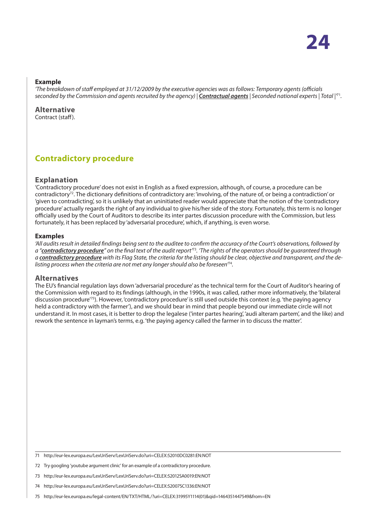#### <span id="page-23-0"></span>**Example**

*'The breakdown of staff employed at 31/12/2009 by the executive agencies was as follows: Temporary agents (officials seconded by the Commission and agents recruited by the agency) | Contractual agents | Seconded national experts | Total |'*<sup>71</sup>*.*

**Alternative** Contract (staff).

# **Contradictory procedure**

#### **Explanation**

'Contradictory procedure' does not exist in English as a fixed expression, although, of course, a procedure can be contradictory<sup>72</sup>. The dictionary definitions of contradictory are: 'involving, of the nature of, or being a contradiction' or 'given to contradicting', so it is unlikely that an uninitiated reader would appreciate that the notion of the 'contradictory procedure' actually regards the right of any individual to give his/her side of the story. Fortunately, this term is no longer officially used by the Court of Auditors to describe its inter partes discussion procedure with the Commission, but less fortunately, it has been replaced by 'adversarial procedure', which, if anything, is even worse.

#### **Examples**

*'All audits result in detailed findings being sent to the auditee to confirm the accuracy of the Court's observations, followed by a "contradictory procedure" on the final text of the audit report'*<sup>73</sup>*. 'The rights of the operators should be guaranteed through a contradictory procedure with its Flag State, the criteria for the listing should be clear, objective and transparent, and the delisting process when the criteria are not met any longer should also be foreseen'*<sup>74</sup>*.*

#### **Alternatives**

The EU's financial regulation lays down 'adversarial procedure' as the technical term for the Court of Auditor's hearing of the Commission with regard to its findings (although, in the 1990s, it was called, rather more informatively, the 'bilateral discussion procedure'75). However, 'contradictory procedure' is still used outside this context (e.g. 'the paying agency held a contradictory with the farmer'), and we should bear in mind that people beyond our immediate circle will not understand it. In most cases, it is better to drop the legalese ('inter partes hearing', 'audi alteram partem', and the like) and rework the sentence in layman's terms, e.g. 'the paying agency called the farmer in to discuss the matter'.

<sup>71</sup> http://eur-lex.europa.eu/LexUriServ/LexUriServ.do?uri=CELEX:52010DC0281:EN:NOT

<sup>72</sup> Try googling 'youtube argument clinic' for an example of a contradictory procedure.

<sup>73</sup> http://eur-lex.europa.eu/LexUriServ/LexUriServ.do?uri=CELEX:52012SA0019:EN:NOT

<sup>74</sup> http://eur-lex.europa.eu/LexUriServ/LexUriServ.do?uri=CELEX:52007SC1336:EN:NOT

<sup>75</sup> http://eur-lex.europa.eu/legal-content/EN/TXT/HTML/?uri=CELEX:31995Y1114(01)&qid=1464351447549&from=EN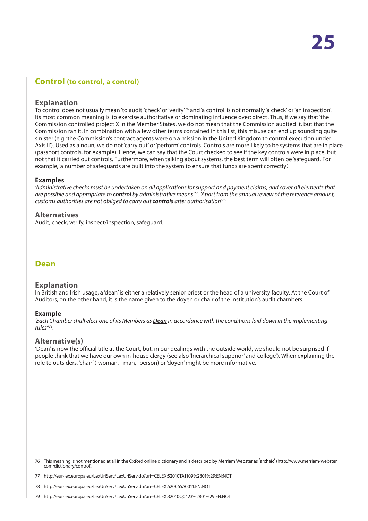# <span id="page-24-0"></span>**Control (to control, a control)**

#### **Explanation**

To control does not usually mean 'to audit' 'check' or 'verify'<sup>76</sup> and 'a control' is not normally 'a check' or 'an inspection'. Its most common meaning is 'to exercise authoritative or dominating influence over; direct'. Thus, if we say that 'the Commission controlled project X in the Member States', we do not mean that the Commission audited it, but that the Commission ran it. In combination with a few other terms contained in this list, this misuse can end up sounding quite sinister (e.g. 'the Commission's contract agents were on a mission in the United Kingdom to control execution under Axis II'). Used as a noun, we do not 'carry out' or 'perform' controls. Controls are more likely to be systems that are in place (passport controls, for example). Hence, we can say that the Court checked to see if the key controls were in place, but not that it carried out controls. Furthermore, when talking about systems, the best term will often be 'safeguard'. For example, 'a number of safeguards are built into the system to ensure that funds are spent correctly'.

#### **Examples**

*'Administrative checks must be undertaken on all applications for support and payment claims, and cover all elements that are possible and appropriate to control by administrative means'*<sup>77</sup>*. 'Apart from the annual review of the reference amount, customs authorities are not obliged to carry out controls after authorisation'*<sup>78</sup>*.*

#### **Alternatives**

Audit, check, verify, inspect/inspection, safeguard.

## **Dean**

#### **Explanation**

In British and Irish usage, a 'dean' is either a relatively senior priest or the head of a university faculty. At the Court of Auditors, on the other hand, it is the name given to the doyen or chair of the institution's audit chambers.

#### **Example**

*'Each Chamber shall elect one of its Members as Dean in accordance with the conditions laid down in the implementing rules''*<sup>79</sup>*.*

#### **Alternative(s)**

'Dean' is now the official title at the Court, but, in our dealings with the outside world, we should not be surprised if people think that we have our own in-house clergy (see also 'hierarchical superior' and 'college'). When explaining the role to outsiders, 'chair' (-woman, - man, -person) or 'doyen' might be more informative.

76 This meaning is not mentioned at all in the Oxford online dictionary and is described by Merriam Webster as 'archaic' (http://www.merriam-webster. com/dictionary/control).

77 http://eur-lex.europa.eu/LexUriServ/LexUriServ.do?uri=CELEX:52010TA1109%2801%29:EN:NOT

78 http://eur-lex.europa.eu/LexUriServ/LexUriServ.do?uri=CELEX:52006SA0011:EN:NOT

79 http://eur-lex.europa.eu/LexUriServ/LexUriServ.do?uri=CELEX:32010Q0423%2801%29:EN:NOT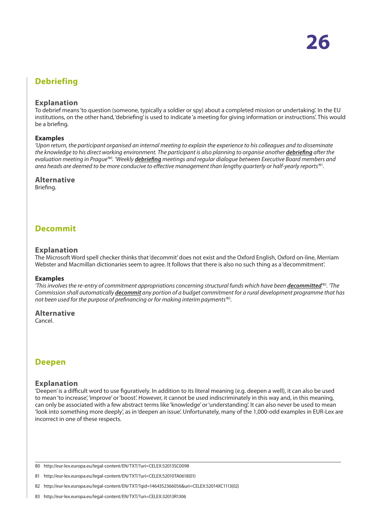# <span id="page-25-0"></span>**Debriefing**

#### **Explanation**

To debrief means 'to question (someone, typically a soldier or spy) about a completed mission or undertaking'. In the EU institutions, on the other hand, 'debriefing' is used to indicate 'a meeting for giving information or instructions'. This would be a briefing.

#### **Examples**

*'Upon return, the participant organised an internal meeting to explain the experience to his colleagues and to disseminate the knowledge to his direct working environment. The participant is also planning to organise another debriefing after the evaluation meeting in Prague'*<sup>80</sup>*. 'Weekly debriefing meetings and regular dialogue between Executive Board members and area heads are deemed to be more conducive to effective management than lengthy quarterly or half-yearly reports'*<sup>81</sup>*.*

#### **Alternative**

Briefing.

## **Decommit**

#### **Explanation**

The Microsoft Word spell checker thinks that 'decommit' does not exist and the Oxford English, Oxford on-line, Merriam Webster and Macmillan dictionaries seem to agree. It follows that there is also no such thing as a 'decommitment'.

#### **Examples**

*'This involves the re-entry of commitment appropriations concerning structural funds which have been decommitted'* <sup>82</sup>*. 'The Commission shall automatically decommit any portion of a budget commitment for a rural development programme that has not been used for the purpose of prefinancing or for making interim payments'*<sup>83</sup>*.*

**Alternative** Cancel.

## **Deepen**

#### **Explanation**

'Deepen' is a difficult word to use figuratively. In addition to its literal meaning (e.g. deepen a well), it can also be used to mean 'to increase', 'improve' or 'boost'. However, it cannot be used indiscriminately in this way and, in this meaning, can only be associated with a few abstract terms like 'knowledge' or 'understanding'. It can also never be used to mean 'look into something more deeply', as in 'deepen an issue'. Unfortunately, many of the 1,000-odd examples in EUR-Lex are incorrect in one of these respects.

80 http://eur-lex.europa.eu/legal-content/EN/TXT/?uri=CELEX:52013SC0098

- 82 http://eur-lex.europa.eu/legal-content/EN/TXT/?qid=1464352366056&uri=CELEX:52014XC1113(02)
- 83 http://eur-lex.europa.eu/legal-content/EN/TXT/?uri=CELEX:32013R1306

<sup>81</sup> http://eur-lex.europa.eu/legal-content/EN/TXT/?uri=CELEX:52010TA0618(01)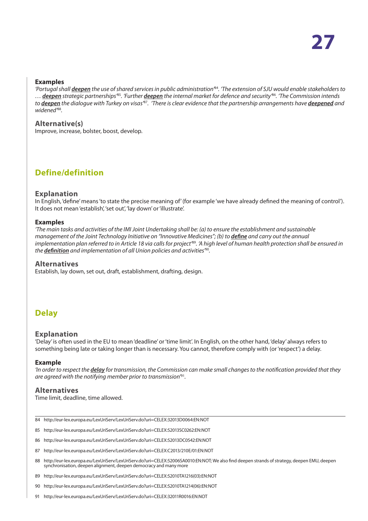#### <span id="page-26-0"></span>**Examples**

*'Portugal shall deepen the use of shared services in public administration'*<sup>84</sup>*. 'The extension of SJU would enable stakeholders to … deepen strategic partnerships'*<sup>85</sup>*. 'Further deepen the internal market for defence and security'*<sup>86</sup>*. 'The Commission intends to deepen the dialogue with Turkey on visas'*<sup>87</sup>*. 'There is clear evidence that the partnership arrangements have deepened and widened'*<sup>88</sup>*.*

#### **Alternative(s)**

Improve, increase, bolster, boost, develop.

# **Define/definition**

#### **Explanation**

In English, 'define' means 'to state the precise meaning of' (for example 'we have already defined the meaning of control'). It does not mean 'establish', 'set out', 'lay down' or 'illustrate'.

#### **Examples**

*'The main tasks and activities of the IMI Joint Undertaking shall be: (a) to ensure the establishment and sustainable management of the Joint Technology Initiative on "Innovative Medicines"; (b) to define and carry out the annual* implementation plan referred to in Article 18 via calls for project<sup>89</sup>. 'A high level of human health protection shall be ensured in *the definition and implementation of all Union policies and activities'*<sup>90</sup>*.*

#### **Alternatives**

Establish, lay down, set out, draft, establishment, drafting, design.

# **Delay**

#### **Explanation**

'Delay' is often used in the EU to mean 'deadline' or 'time limit'. In English, on the other hand, 'delay' always refers to something being late or taking longer than is necessary. You cannot, therefore comply with (or 'respect') a delay.

#### **Example**

*'In order to respect the delay for transmission, the Commission can make small changes to the notification provided that they are agreed with the notifying member prior to transmission'*<sup>91</sup>*.*

#### **Alternatives**

Time limit, deadline, time allowed.

- 84 http://eur-lex.europa.eu/LexUriServ/LexUriServ.do?uri=CELEX:32013D0064:EN:NOT
- 85 http://eur-lex.europa.eu/LexUriServ/LexUriServ.do?uri=CELEX:52013SC0262:EN:NOT
- 86 http://eur-lex.europa.eu/LexUriServ/LexUriServ.do?uri=CELEX:52013DC0542:EN:NOT
- 87 http://eur-lex.europa.eu/LexUriServ/LexUriServ.do?uri=CELEX:C2013/210E/01:EN:NOT
- 88 http://eur-lex.europa.eu/LexUriServ/LexUriServ.do?uri=CELEX:52006SA0010:EN:NOT; We also find deepen strands of strategy, deepen EMU, deepen synchronisation, deepen alignment, deepen democracy and many more
- 89 http://eur-lex.europa.eu/LexUriServ/LexUriServ.do?uri=CELEX:52010TA1216(03):EN:NOT
- 90 http://eur-lex.europa.eu/LexUriServ/LexUriServ.do?uri=CELEX:52010TA1214(06):EN:NOT
- 91 http://eur-lex.europa.eu/LexUriServ/LexUriServ.do?uri=CELEX:32011R0016:EN:NOT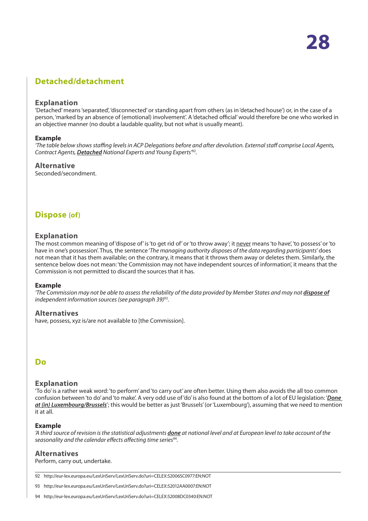# <span id="page-27-0"></span>**Detached/detachment**

#### **Explanation**

'Detached' means 'separated', 'disconnected' or standing apart from others (as in 'detached house') or, in the case of a person, 'marked by an absence of (emotional) involvement'. A 'detached official' would therefore be one who worked in an objective manner (no doubt a laudable quality, but not what is usually meant).

#### **Example**

*'The table below shows staffing levels in ACP Delegations before and after devolution. External staff comprise Local Agents, Contract Agents, Detached National Experts and Young Experts'*<sup>92</sup>*.*

#### **Alternative**

Seconded/secondment.

## **Dispose (of)**

#### **Explanation**

The most common meaning of 'dispose of' is 'to get rid of' or 'to throw away'; it never means 'to have', 'to possess' or 'to have in one's possession'. Thus, the sentence '*The managing authority disposes of the data regarding participants*' does not mean that it has them available; on the contrary, it means that it throws them away or deletes them. Similarly, the sentence below does not mean: 'the Commission may not have independent sources of information', it means that the Commission is not permitted to discard the sources that it has.

#### **Example**

*'The Commission may not be able to assess the reliability of the data provided by Member States and may not dispose of independent information sources (see paragraph 39)*<sup>93</sup>*.*

#### **Alternatives**

have, possess, xyz is/are not available to [the Commission].

## **Do**

#### **Explanation**

'To do' is a rather weak word: 'to perform' and 'to carry out' are often better. Using them also avoids the all too common confusion between 'to do' and 'to make'. A very odd use of 'do' is also found at the bottom of a lot of EU legislation: '*Done at (in) Luxembourg/Brussels*'; this would be better as just 'Brussels' (or 'Luxembourg'), assuming that we need to mention it at all.

#### **Example**

*'A third source of revision is the statistical adjustments done at national level and at European level to take account of the seasonality and the calendar effects affecting time series*<sup>94</sup>*.*

#### **Alternatives**

Perform, carry out, undertake.

92 http://eur-lex.europa.eu/LexUriServ/LexUriServ.do?uri=CELEX:52006SC0977:EN:NOT

93 http://eur-lex.europa.eu/LexUriServ/LexUriServ.do?uri=CELEX:52012AA0007:EN:NOT

94 http://eur-lex.europa.eu/LexUriServ/LexUriServ.do?uri=CELEX:52008DC0340:EN:NOT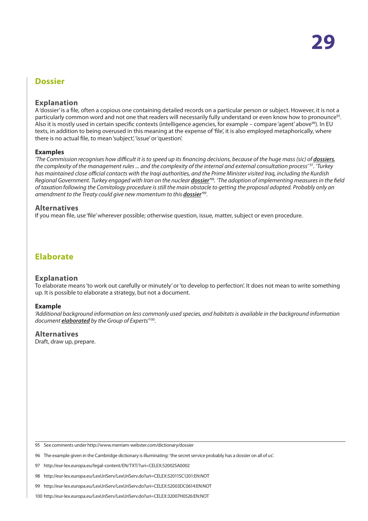## <span id="page-28-0"></span>**Dossier**

#### **Explanation**

A 'dossier' is a file, often a copious one containing detailed records on a particular person or subject. However, it is not a particularly common word and not one that readers will necessarily fully understand or even know how to pronounce<sup>95</sup>. Also it is mostly used in certain specific contexts (intelligence agencies, for example – compare 'agent' above<sup>96</sup>). In EU texts, in addition to being overused in this meaning at the expense of 'file', it is also employed metaphorically, where there is no actual file, to mean 'subject', 'issue' or 'question'.

#### **Examples**

*'The Commission recognises how difficult it is to speed up its financing decisions, because of the huge mass (sic) of <i>dossiers*, *the complexity of the management rules ... and the complexity of the internal and external consultation process'* <sup>97</sup>*. 'Turkey has maintained close official contacts with the Iraqi authorities, and the Prime Minister visited Iraq, including the Kurdish*  Regional Government. Turkey engaged with Iran on the nuclear <u>dossier<sup>98</sup>.</u> 'The adoption of implementing measures in the field *of taxation following the Comitology procedure is still the main obstacle to getting the proposal adopted. Probably only an amendment to the Treaty could give new momentum to this dossier'* 99*.*

#### **Alternatives**

If you mean file, use 'file' wherever possible; otherwise question, issue, matter, subject or even procedure.

# **Elaborate**

#### **Explanation**

To elaborate means 'to work out carefully or minutely' or 'to develop to perfection'. It does not mean to write something up. It is possible to elaborate a strategy, but not a document.

#### **Example**

*'Additional background information on less commonly used species, and habitats is available in the background information document elaborated by the Group of Experts'*<sup>100</sup>*.*

#### **Alternatives**

Draft, draw up, prepare.

<sup>95</sup> See comments under http://www.merriam-webster.com/dictionary/dossier

<sup>96</sup> The example given in the Cambridge dictionary is illuminating: 'the secret service probably has a dossier on all of us'.

<sup>97</sup> http://eur-lex.europa.eu/legal-content/EN/TXT/?uri=CELEX:52002SA0002

<sup>98</sup> http://eur-lex.europa.eu/LexUriServ/LexUriServ.do?uri=CELEX:52011SC1201:EN:NOT

<sup>99</sup> http://eur-lex.europa.eu/LexUriServ/LexUriServ.do?uri=CELEX:52003DC0614:EN:NOT

<sup>100</sup> http://eur-lex.europa.eu/LexUriServ/LexUriServ.do?uri=CELEX:32007H0526:EN:NOT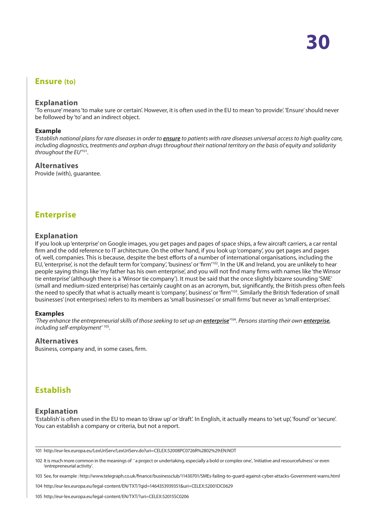## <span id="page-29-0"></span>**Ensure (to)**

#### **Explanation**

'To ensure' means 'to make sure or certain'. However, it is often used in the EU to mean 'to provide'. 'Ensure' should never be followed by 'to' and an indirect object.

#### **Example**

*'Establish national plans for rare diseases in order to ensure to patients with rare diseases universal access to high quality care, including diagnostics, treatments and orphan drugs throughout their national territory on the basis of equity and solidarity throughout the EU'*<sup>101</sup>*.*

#### **Alternatives**

Provide (with), guarantee.

## **Enterprise**

#### **Explanation**

If you look up 'enterprise' on Google images, you get pages and pages of space ships, a few aircraft carriers, a car rental firm and the odd reference to IT architecture. On the other hand, if you look up 'company', you get pages and pages of, well, companies. This is because, despite the best efforts of a number of international organisations, including the EU, 'enterprise', is not the default term for 'company', 'business' or 'firm'102. In the UK and Ireland, you are unlikely to hear people saying things like 'my father has his own enterprise', and you will not find many firms with names like 'the Winsor tie enterprise' (although there is a 'Winsor tie company'). It must be said that the once slightly bizarre sounding 'SME' (small and medium-sized enterprise) has certainly caught on as an acronym, but, significantly, the British press often feels the need to specify that what is actually meant is 'company', business' or 'firm'103. Similarly the British 'federation of small businesses' (not enterprises) refers to its members as 'small businesses' or small firms' but never as 'small enterprises'.

#### **Examples**

'They enhance the entrepreneurial skills of those seeking to set up an <u>enterprise</u><sup>104</sup>. Persons starting their own <u>enterprise</u>, *including self-employment'* <sup>105</sup>*.*

#### **Alternatives**

Business, company and, in some cases, firm.

# **Establish**

#### **Explanation**

'Establish' is often used in the EU to mean to 'draw up' or 'draft'. In English, it actually means to 'set up', 'found' or 'secure'. You can establish a company or criteria, but not a report.

101 http://eur-lex.europa.eu/LexUriServ/LexUriServ.do?uri=CELEX:52008PC0726R%2802%29:EN:NOT

102 It is much more common in the meanings of 'a project or undertaking, especially a bold or complex one', 'initiative and resourcefulness' or even 'entrepreneurial activity'.

103 See, for example : http://www.telegraph.co.uk/finance/businessclub/11430701/SMEs-failing-to-guard-against-cyber-attacks-Government-warns.html

104 http://eur-lex.europa.eu/legal-content/EN/TXT/?qid=1464353939351&uri=CELEX:52001DC0629

105 http://eur-lex.europa.eu/legal-content/EN/TXT/?uri=CELEX:52015SC0206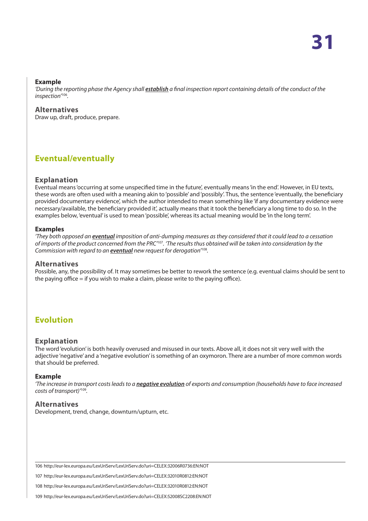#### <span id="page-30-0"></span>**Example**

'During the reporting phase the Agency shall *establish* a final inspection report containing details of the conduct of the *inspection'*<sup>106</sup>*.*

### **Alternatives**

Draw up, draft, produce, prepare.

# **Eventual/eventually**

#### **Explanation**

Eventual means 'occurring at some unspecified time in the future', eventually means 'in the end'. However, in EU texts, these words are often used with a meaning akin to 'possible' and 'possibly'. Thus, the sentence 'eventually, the beneficiary provided documentary evidence', which the author intended to mean something like 'if any documentary evidence were necessary/available, the beneficiary provided it', actually means that it took the beneficiary a long time to do so. In the examples below, 'eventual' is used to mean 'possible', whereas its actual meaning would be 'in the long term'.

#### **Examples**

*'They both opposed an eventual imposition of anti-dumping measures as they considered that it could lead to a cessation of imports of the product concerned from the PRC'*<sup>107</sup>*. 'The results thus obtained will be taken into consideration by the Commission with regard to an eventual new request for derogation'*<sup>108</sup>*.*

#### **Alternatives**

Possible, any, the possibility of. It may sometimes be better to rework the sentence (e.g. eventual claims should be sent to the paying office = if you wish to make a claim, please write to the paying office).

# **Evolution**

#### **Explanation**

The word 'evolution' is both heavily overused and misused in our texts. Above all, it does not sit very well with the adjective 'negative' and a 'negative evolution' is something of an oxymoron. There are a number of more common words that should be preferred.

#### **Example**

*'The increase in transport costs leads to a negative evolution of exports and consumption (households have to face increased costs of transport)'*<sup>109</sup>*.*

#### **Alternatives**

Development, trend, change, downturn/upturn, etc.

106 http://eur-lex.europa.eu/LexUriServ/LexUriServ.do?uri=CELEX:32006R0736:EN:NOT

107 http://eur-lex.europa.eu/LexUriServ/LexUriServ.do?uri=CELEX:32010R0812:EN:NOT

108 http://eur-lex.europa.eu/LexUriServ/LexUriServ.do?uri=CELEX:32010R0812:EN:NOT

109 http://eur-lex.europa.eu/LexUriServ/LexUriServ.do?uri=CELEX:52008SC2208:EN:NOT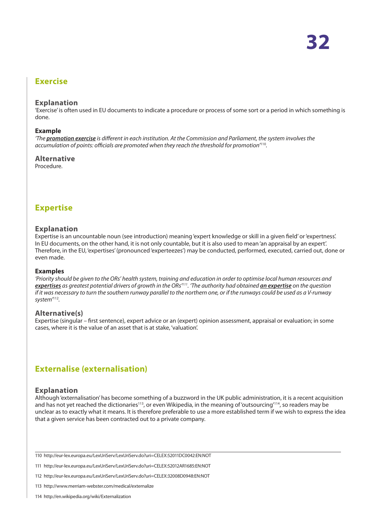## <span id="page-31-0"></span>**Exercise**

#### **Explanation**

'Exercise' is often used in EU documents to indicate a procedure or process of some sort or a period in which something is done.

#### **Example**

*'The promotion exercise is different in each institution. At the Commission and Parliament, the system involves the accumulation of points: officials are promoted when they reach the threshold for promotion'*<sup>110</sup>*.*

### **Alternative**

Procedure.

# **Expertise**

#### **Explanation**

Expertise is an uncountable noun (see introduction) meaning 'expert knowledge or skill in a given field' or 'expertness'. In EU documents, on the other hand, it is not only countable, but it is also used to mean 'an appraisal by an expert'. Therefore, in the EU, 'expertises' (pronounced 'experteezes') may be conducted, performed, executed, carried out, done or even made.

#### **Examples**

*'Priority should be given to the ORs' health system, training and education in order to optimise local human resources and expertises as greatest potential drivers of growth in the ORs'111. 'The authority had obtained an expertise on the question if it was necessary to turn the southern runway parallel to the northern one, or if the runways could be used as a V-runway system'*<sup>112</sup>*.*

#### **Alternative(s)**

Expertise (singular – first sentence), expert advice or an (expert) opinion assessment, appraisal or evaluation; in some cases, where it is the value of an asset that is at stake, 'valuation'.

# **Externalise (externalisation)**

#### **Explanation**

Although 'externalisation' has become something of a buzzword in the UK public administration, it is a recent acquisition and has not yet reached the dictionaries<sup>113</sup>, or even Wikipedia, in the meaning of 'outsourcing'<sup>114</sup>, so readers may be unclear as to exactly what it means. It is therefore preferable to use a more established term if we wish to express the idea that a given service has been contracted out to a private company.

110 http://eur-lex.europa.eu/LexUriServ/LexUriServ.do?uri=CELEX:52011DC0042:EN:NOT

111 http://eur-lex.europa.eu/LexUriServ/LexUriServ.do?uri=CELEX:52012AR1685:EN:NOT

112 http://eur-lex.europa.eu/LexUriServ/LexUriServ.do?uri=CELEX:32008D0948:EN:NOT

113 http://www.merriam-webster.com/medical/externalize

114 http://en.wikipedia.org/wiki/Externalization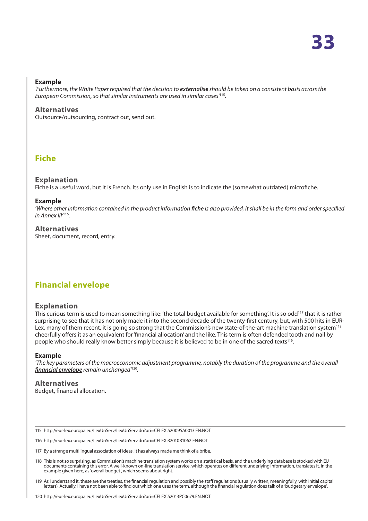#### <span id="page-32-0"></span>**Example**

*'Furthermore, the White Paper required that the decision to externalise should be taken on a consistent basis across the European Commission, so that similar instruments are used in similar cases'*<sup>115</sup>*.*

#### **Alternatives**

Outsource/outsourcing, contract out, send out.

## **Fiche**

#### **Explanation**

Fiche is a useful word, but it is French. Its only use in English is to indicate the (somewhat outdated) microfiche.

#### **Example**

'Where other information contained in the product information *fiche* is also provided, it shall be in the form and order specified *in Annex III'*<sup>116</sup>*.*

#### **Alternatives**

Sheet, document, record, entry.

# **Financial envelope**

#### **Explanation**

This curious term is used to mean something like: 'the total budget available for something'. It is so odd<sup>117</sup> that it is rather surprising to see that it has not only made it into the second decade of the twenty-first century, but, with 500 hits in EUR-Lex, many of them recent, it is going so strong that the Commission's new state-of-the-art machine translation system<sup>118</sup> cheerfully offers it as an equivalent for 'financial allocation' and the like. This term is often defended tooth and nail by people who should really know better simply because it is believed to be in one of the sacred texts<sup>119</sup>.

#### **Example**

*'The key parameters of the macroeconomic adjustment programme, notably the duration of the programme and the overall financial envelope remain unchanged'*<sup>120</sup>*.*

#### **Alternatives** Budget, financial allocation.

115 http://eur-lex.europa.eu/LexUriServ/LexUriServ.do?uri=CELEX:52009SA0013:EN:NOT

116 http://eur-lex.europa.eu/LexUriServ/LexUriServ.do?uri=CELEX:32010R1062:EN:NOT

- 117 By a strange multilingual association of ideas, it has always made me think of a bribe.
- 118 This is not so surprising, as Commission's machine translation system works on a statistical basis, and the underlying database is stocked with EU documents containing this error. A well-known on-line translation service, which operates on different underlying information, translates it, in the example given here, as 'overall budget', which seems about right.
- 119 As I understand it, these are the treaties, the financial regulation and possibly the staff regulations (usually written, meaningfully, with initial capital letters). Actually, I have not been able to find out which one uses the term, although the financial regulation does talk of a 'budgetary envelope'.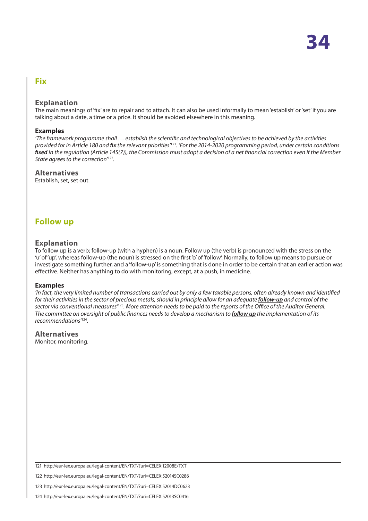## <span id="page-33-0"></span>**Fix**

### **Explanation**

The main meanings of 'fix' are to repair and to attach. It can also be used informally to mean 'establish' or 'set' if you are talking about a date, a time or a price. It should be avoided elsewhere in this meaning.

#### **Examples**

*'The framework programme shall … establish the scientific and technological objectives to be achieved by the activities provided for in Article 180 and fix the relevant priorities'*<sup>121</sup>*. 'For the 2014-2020 programming period, under certain conditions fixed in the regulation (Article 145(7)), the Commission must adopt a decision of a net financial correction even if the Member State agrees to the correction'*<sup>122</sup>*.*

#### **Alternatives**

Establish, set, set out.

# **Follow up**

### **Explanation**

To follow up is a verb; follow-up (with a hyphen) is a noun. Follow up (the verb) is pronounced with the stress on the 'u' of 'up', whereas follow-up (the noun) is stressed on the first 'o' of 'follow'. Normally, to follow up means to pursue or investigate something further, and a 'follow-up' is something that is done in order to be certain that an earlier action was effective. Neither has anything to do with monitoring, except, at a push, in medicine.

#### **Examples**

*'In fact, the very limited number of transactions carried out by only a few taxable persons, often already known and identified for their activities in the sector of precious metals, should in principle allow for an adequate follow-up and control of the sector via conventional measures'*<sup>123</sup>*. More attention needs to be paid to the reports of the Office of the Auditor General. The committee on oversight of public finances needs to develop a mechanism to follow up the implementation of its recommendations'*<sup>124</sup>*.*

#### **Alternatives**

Monitor, monitoring.

121 http://eur-lex.europa.eu/legal-content/EN/TXT/?uri=CELEX:12008E/TXT

<sup>122</sup> http://eur-lex.europa.eu/legal-content/EN/TXT/?uri=CELEX:52014SC0286

<sup>123</sup> http://eur-lex.europa.eu/legal-content/EN/TXT/?uri=CELEX:52014DC0623

<sup>124</sup> http://eur-lex.europa.eu/legal-content/EN/TXT/?uri=CELEX:52013SC0416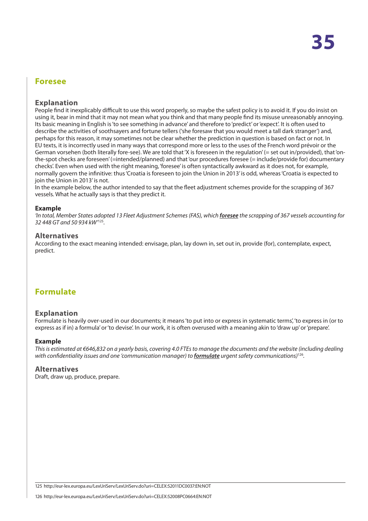## <span id="page-34-0"></span>**Foresee**

#### **Explanation**

People find it inexplicably difficult to use this word properly, so maybe the safest policy is to avoid it. If you do insist on using it, bear in mind that it may not mean what you think and that many people find its misuse unreasonably annoying. Its basic meaning in English is 'to see something in advance' and therefore to 'predict' or 'expect'. It is often used to describe the activities of soothsayers and fortune tellers ('she foresaw that you would meet a tall dark stranger') and, perhaps for this reason, it may sometimes not be clear whether the prediction in question is based on fact or not. In EU texts, it is incorrectly used in many ways that correspond more or less to the uses of the French word prévoir or the German vorsehen (both literally fore-see). We are told that 'X is foreseen in the regulation' (= set out in/provided), that 'onthe-spot checks are foreseen' (=intended/planned) and that 'our procedures foresee (= include/provide for) documentary checks'. Even when used with the right meaning, 'foresee' is often syntactically awkward as it does not, for example, normally govern the infinitive: thus 'Croatia is foreseen to join the Union in 2013' is odd, whereas 'Croatia is expected to join the Union in 2013' is not.

In the example below, the author intended to say that the fleet adjustment schemes provide for the scrapping of 367 vessels. What he actually says is that they predict it.

#### **Example**

*'In total, Member States adopted 13 Fleet Adjustment Schemes (FAS), which foresee the scrapping of 367 vessels accounting for 32 448 GT and 50 934 kW'*<sup>125</sup>*.*

#### **Alternatives**

According to the exact meaning intended: envisage, plan, lay down in, set out in, provide (for), contemplate, expect, predict.

# **Formulate**

#### **Explanation**

Formulate is heavily over-used in our documents; it means 'to put into or express in systematic terms', 'to express in (or to express as if in) a formula' or 'to devise'. In our work, it is often overused with a meaning akin to 'draw up' or 'prepare'.

#### **Example**

*This is estimated at €646,832 on a yearly basis, covering 4.0 FTEs to manage the documents and the website (including dealing with confidentiality issues and one 'communication manager) to formulate urgent safety communications)*<sup>126</sup>*.*

#### **Alternatives**

Draft, draw up, produce, prepare.

125 http://eur-lex.europa.eu/LexUriServ/LexUriServ.do?uri=CELEX:52011DC0037:EN:NOT

126 http://eur-lex.europa.eu/LexUriServ/LexUriServ.do?uri=CELEX:52008PC0664:EN:NOT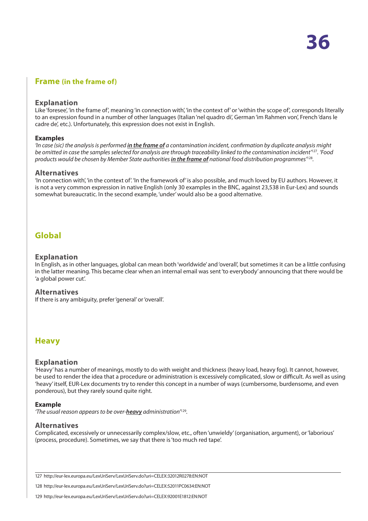## <span id="page-35-0"></span>**Frame (in the frame of)**

#### **Explanation**

Like 'foresee', 'in the frame of', meaning 'in connection with', 'in the context of' or 'within the scope of', corresponds literally to an expression found in a number of other languages (Italian 'nel quadro di', German 'im Rahmen von', French 'dans le cadre de', etc.). Unfortunately, this expression does not exist in English.

#### **Examples**

*'In case (sic)* the analysis is performed *in the frame of* a contamination incident, confirmation by duplicate analysis might *be omitted in case the samples selected for analysis are through traceability linked to the contamination incident'*<sup>127</sup>*. 'Food products would be chosen by Member State authorities in the frame of national food distribution programmes'*<sup>128</sup>*.*

#### **Alternatives**

'In connection with', 'in the context of'. 'In the framework of' is also possible, and much loved by EU authors. However, it is not a very common expression in native English (only 30 examples in the BNC, against 23,538 in Eur-Lex) and sounds somewhat bureaucratic. In the second example, 'under' would also be a good alternative.

## **Global**

#### **Explanation**

In English, as in other languages, global can mean both 'worldwide' and 'overall', but sometimes it can be a little confusing in the latter meaning. This became clear when an internal email was sent 'to everybody' announcing that there would be 'a global power cut'.

#### **Alternatives**

If there is any ambiguity, prefer 'general' or 'overall'.

## **Heavy**

#### **Explanation**

'Heavy' has a number of meanings, mostly to do with weight and thickness (heavy load, heavy fog). It cannot, however, be used to render the idea that a procedure or administration is excessively complicated, slow or difficult. As well as using 'heavy' itself, EUR-Lex documents try to render this concept in a number of ways (cumbersome, burdensome, and even ponderous), but they rarely sound quite right.

#### **Example**

*'The usual reason appears to be over-heavy administration'*<sup>129</sup>*.*

#### **Alternatives**

Complicated, excessively or unnecessarily complex/slow, etc., often 'unwieldy' (organisation, argument), or 'laborious' (process, procedure). Sometimes, we say that there is 'too much red tape'.

127 http://eur-lex.europa.eu/LexUriServ/LexUriServ.do?uri=CELEX:32012R0278:EN:NOT

128 http://eur-lex.europa.eu/LexUriServ/LexUriServ.do?uri=CELEX:52011PC0634:EN:NOT

129 http://eur-lex.europa.eu/LexUriServ/LexUriServ.do?uri=CELEX:92001E1812:EN:NOT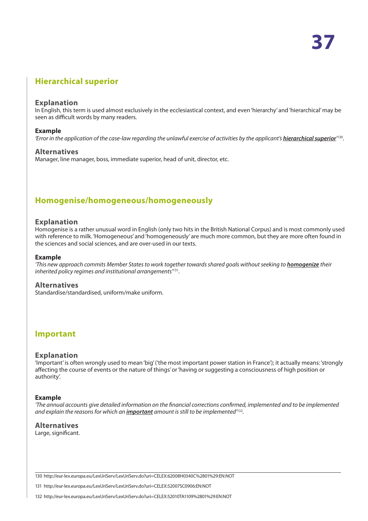# <span id="page-36-0"></span>**Hierarchical superior**

#### **Explanation**

In English, this term is used almost exclusively in the ecclesiastical context, and even 'hierarchy' and 'hierarchical' may be seen as difficult words by many readers.

#### **Example**

*'Error in the application of the case-law regarding the unlawful exercise of activities by the applicant's <u>hierarchical superior</u><sup>130</sup>.* 

#### **Alternatives**

Manager, line manager, boss, immediate superior, head of unit, director, etc.

# **Homogenise/homogeneous/homogeneously**

#### **Explanation**

Homogenise is a rather unusual word in English (only two hits in the British National Corpus) and is most commonly used with reference to milk. 'Homogeneous' and 'homogeneously' are much more common, but they are more often found in the sciences and social sciences, and are over-used in our texts.

#### **Example**

*'This new approach commits Member States to work together towards shared goals without seeking to homogenize their inherited policy regimes and institutional arrangements'*<sup>131</sup>*.*

#### **Alternatives**

Standardise/standardised, uniform/make uniform.

## **Important**

#### **Explanation**

'Important' is often wrongly used to mean 'big' ('the most important power station in France'); it actually means: 'strongly affecting the course of events or the nature of things' or 'having or suggesting a consciousness of high position or authority'.

#### **Example**

*'The annual accounts give detailed information on the financial corrections confirmed, implemented and to be implemented and explain the reasons for which an important amount is still to be implemented'*<sup>132</sup>*.*

#### **Alternatives**

Large, significant.

130 http://eur-lex.europa.eu/LexUriServ/LexUriServ.do?uri=CELEX:62008H0340C%2801%29:EN:NOT

131 http://eur-lex.europa.eu/LexUriServ/LexUriServ.do?uri=CELEX:52007SC0906:EN:NOT

132 http://eur-lex.europa.eu/LexUriServ/LexUriServ.do?uri=CELEX:52010TA1109%2801%29:EN:NOT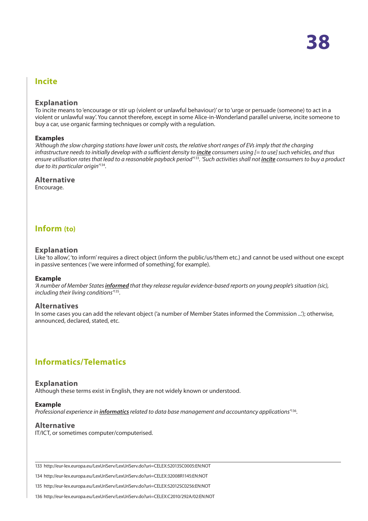## <span id="page-37-0"></span>**Incite**

#### **Explanation**

To incite means to 'encourage or stir up (violent or unlawful behaviour)' or to 'urge or persuade (someone) to act in a violent or unlawful way'. You cannot therefore, except in some Alice-in-Wonderland parallel universe, incite someone to buy a car, use organic farming techniques or comply with a regulation.

#### **Examples**

*'Although the slow charging stations have lower unit costs, the relative short ranges of EVs imply that the charging infrastructure needs to initially develop with a sufficient density to <i>incite* consumers using [= to use] such vehicles, and thus *ensure utilisation rates that lead to a reasonable payback period'*<sup>133</sup>*. 'Such activities shall not incite consumers to buy a product due to its particular origin'*<sup>134</sup>*.*

#### **Alternative**

Encourage.

## **Inform (to)**

#### **Explanation**

Like 'to allow', 'to inform' requires a direct object (inform the public/us/them etc.) and cannot be used without one except in passive sentences ('we were informed of something', for example).

#### **Example**

*'A number of Member States informed that they release regular evidence-based reports on young people's situation (sic), including their living conditions'*<sup>135</sup>*.*

#### **Alternatives**

In some cases you can add the relevant object ('a number of Member States informed the Commission ...'); otherwise, announced, declared, stated, etc.

# **Informatics/Telematics**

#### **Explanation**

Although these terms exist in English, they are not widely known or understood.

#### **Example**

*Professional experience in informatics related to data base management and accountancy applications'*<sup>136</sup>*.*

#### **Alternative**

IT/ICT, or sometimes computer/computerised.

133 http://eur-lex.europa.eu/LexUriServ/LexUriServ.do?uri=CELEX:52013SC0005:EN:NOT

134 http://eur-lex.europa.eu/LexUriServ/LexUriServ.do?uri=CELEX:32008R1145:EN:NOT

135 http://eur-lex.europa.eu/LexUriServ/LexUriServ.do?uri=CELEX:52012SC0256:EN:NOT

136 http://eur-lex.europa.eu/LexUriServ/LexUriServ.do?uri=CELEX:C2010/292A/02:EN:NOT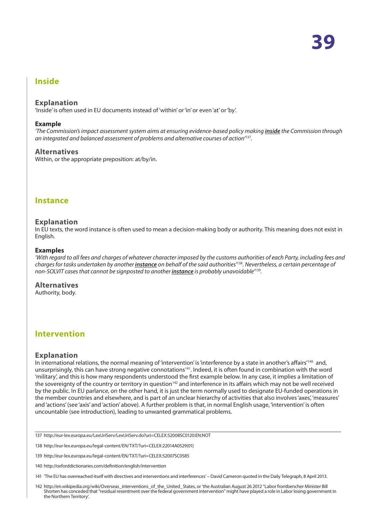## <span id="page-38-0"></span>**Inside**

#### **Explanation**

'Inside' is often used in EU documents instead of 'within' or 'in' or even 'at' or 'by'.

#### **Example**

*'The Commission's impact assessment system aims at ensuring evidence-based policy making inside the Commission through an integrated and balanced assessment of problems and alternative courses of action'*<sup>137</sup>*.*

#### **Alternatives**

Within, or the appropriate preposition: at/by/in.

#### **Instance**

#### **Explanation**

In EU texts, the word instance is often used to mean a decision-making body or authority. This meaning does not exist in English.

#### **Examples**

*'With regard to all fees and charges of whatever character imposed by the customs authorities of each Party, including fees and charges for tasks undertaken by another instance on behalf of the said authorities'*<sup>138</sup>*. Nevertheless, a certain percentage of non-SOLVIT cases that cannot be signposted to another <i>instance* is probably unavoidable<sup> $739$ </sup>.

#### **Alternatives**

Authority, body.

## **Intervention**

#### **Explanation**

In international relations, the normal meaning of 'intervention' is 'interference by a state in another's affairs'<sup>140</sup> and, unsurprisingly, this can have strong negative connotations<sup>141</sup>. Indeed, it is often found in combination with the word 'military', and this is how many respondents understood the first example below. In any case, it implies a limitation of the sovereignty of the country or territory in question<sup>142</sup> and interference in its affairs which may not be well received by the public. In EU parlance, on the other hand, it is just the term normally used to designate EU-funded operations in the member countries and elsewhere, and is part of an unclear hierarchy of activities that also involves 'axes', 'measures' and 'actions' (see 'axis' and 'action' above). A further problem is that, in normal English usage, 'intervention' is often uncountable (see introduction), leading to unwanted grammatical problems.

- 140 http://oxforddictionaries.com/definition/english/intervention
- 141 'The EU has overreached itself with directives and interventions and interferences' David Cameron quoted in the Daily Telegraph, 8 April 2013.
- 142 http://en.wikipedia.org/wiki/Overseas\_interventions\_of\_the\_United\_States, or 'the Australian August 26 2012 "Labor frontbencher Minister Bill Shorten has conceded that "residual resentment over the federal government intervention" might have played a role in Labor losing government in the Northern Territory'.

<sup>137</sup> http://eur-lex.europa.eu/LexUriServ/LexUriServ.do?uri=CELEX:52008SC0120:EN:NOT

<sup>138</sup> http://eur-lex.europa.eu/legal-content/EN/TXT/?uri=CELEX:22014A0529(01)

<sup>139</sup> http://eur-lex.europa.eu/legal-content/EN/TXT/?uri=CELEX:52007SC0585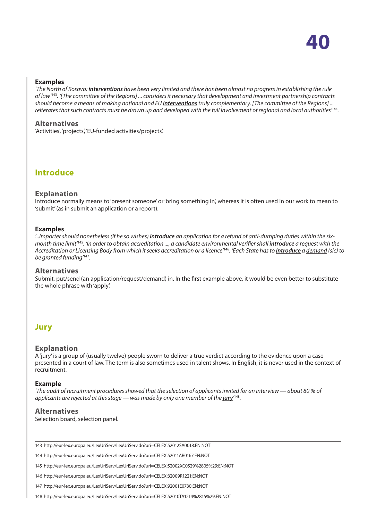#### <span id="page-39-0"></span>**Examples**

*'The North of Kosovo: interventions have been very limited and there has been almost no progress in establishing the rule of law'*<sup>143</sup>*. '[The committee of the Regions] ... considers it necessary that development and investment partnership contracts should become a means of making national and EU interventions truly complementary. [The committee of the Regions] ... reiterates that such contracts must be drawn up and developed with the full involvement of regional and local authorities'*<sup>144</sup>*.*

#### **Alternatives**

'Activities', 'projects', 'EU-funded activities/projects'.

**Introduce**

#### **Explanation**

Introduce normally means to 'present someone' or 'bring something in', whereas it is often used in our work to mean to 'submit' (as in submit an application or a report).

#### **Examples**

*'...importer should nonetheless (if he so wishes) introduce an application for a refund of anti-dumping duties within the sixmonth time limit'*<sup>145</sup>*. 'In order to obtain accreditation ..., a candidate environmental verifier shall introduce a request with the Accreditation or Licensing Body from which it seeks accreditation or a licence'*<sup>146</sup>*. 'Each State has to introduce a demand (sic) to be granted funding'*<sup>147</sup>*.*

#### **Alternatives**

Submit, put/send (an application/request/demand) in. In the first example above, it would be even better to substitute the whole phrase with 'apply'.

## **Jury**

#### **Explanation**

A 'jury' is a group of (usually twelve) people sworn to deliver a true verdict according to the evidence upon a case presented in a court of law. The term is also sometimes used in talent shows. In English, it is never used in the context of recruitment.

#### **Example**

*'The audit of recruitment procedures showed that the selection of applicants invited for an interview — about 80 % of applicants are rejected at this stage — was made by only one member of the*  $\mu$ *ry<sup>,,,88</sup>.* 

#### **Alternatives**

Selection board, selection panel.

143 http://eur-lex.europa.eu/LexUriServ/LexUriServ.do?uri=CELEX:52012SA0018:EN:NOT

144 http://eur-lex.europa.eu/LexUriServ/LexUriServ.do?uri=CELEX:52011AR0167:EN:NOT

145 http://eur-lex.europa.eu/LexUriServ/LexUriServ.do?uri=CELEX:52002XC0529%2805%29:EN:NOT

146 http://eur-lex.europa.eu/LexUriServ/LexUriServ.do?uri=CELEX:32009R1221:EN:NOT

147 http://eur-lex.europa.eu/LexUriServ/LexUriServ.do?uri=CELEX:92001E0730:EN:NOT

148 http://eur-lex.europa.eu/LexUriServ/LexUriServ.do?uri=CELEX:52010TA1214%2815%29:EN:NOT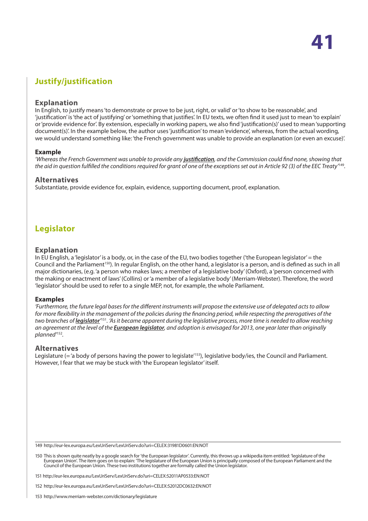# <span id="page-40-0"></span>**Justify/justification**

#### **Explanation**

In English, to justify means 'to demonstrate or prove to be just, right, or valid' or 'to show to be reasonable', and 'justification' is 'the act of justifying' or 'something that justifies'. In EU texts, we often find it used just to mean 'to explain' or 'provide evidence for'. By extension, especially in working papers, we also find 'justification(s)' used to mean 'supporting document(s)'. In the example below, the author uses 'justification' to mean 'evidence', whereas, from the actual wording, we would understand something like: 'the French government was unable to provide an explanation (or even an excuse)'.

#### **Example**

*'Whereas the French Government was unable to provide any justification, and the Commission could find none, showing that the aid in question fulfilled the conditions required for grant of one of the exceptions set out in Article 92 (3) of the EEC Treaty'*<sup>149</sup>*.*

#### **Alternatives**

Substantiate, provide evidence for, explain, evidence, supporting document, proof, explanation.

# **Legislator**

#### **Explanation**

In EU English, a 'legislator' is a body, or, in the case of the EU, two bodies together ('the European legislator' = the Council and the Parliament<sup>150</sup>). In regular English, on the other hand, a legislator is a person, and is defined as such in all major dictionaries, (e.g. 'a person who makes laws; a member of a legislative body' (Oxford), a 'person concerned with the making or enactment of laws' (Collins) or 'a member of a legislative body' (Merriam-Webster). Therefore, the word 'legislator' should be used to refer to a single MEP, not, for example, the whole Parliament.

#### **Examples**

*'Furthermore, the future legal bases for the different instruments will propose the extensive use of delegated acts to allow for more flexibility in the management of the policies during the financing period, while respecting the prerogatives of the*  two branches of <u>legislator´</u>'51. 'As it became apparent during the legislative process, more time is needed to allow reaching *an agreement at the level of the European legislator, and adoption is envisaged for 2013, one year later than originally planned'*<sup>152</sup>*.*

#### **Alternatives**

Legislature ( $=$  'a body of persons having the power to legislate<sup> $153$ </sup>), legislative body/ies, the Council and Parliament. However, I fear that we may be stuck with 'the European legislator' itself.

149 http://eur-lex.europa.eu/LexUriServ/LexUriServ.do?uri=CELEX:31981D0601:EN:NOT

150 This is shown quite neatly by a google search for 'the European legislator'. Currently, this throws up a wikipedia item entitled: 'legislature of the European Union'. The item goes on to explain: 'The legislature of the European Union is principally composed of the European Parliament and the Council of the European Union. These two institutions together are formally called the Union legislator.

151 http://eur-lex.europa.eu/LexUriServ/LexUriServ.do?uri=CELEX:52011AP0533:EN:NOT

152 http://eur-lex.europa.eu/LexUriServ/LexUriServ.do?uri=CELEX:52012DC0632:EN:NOT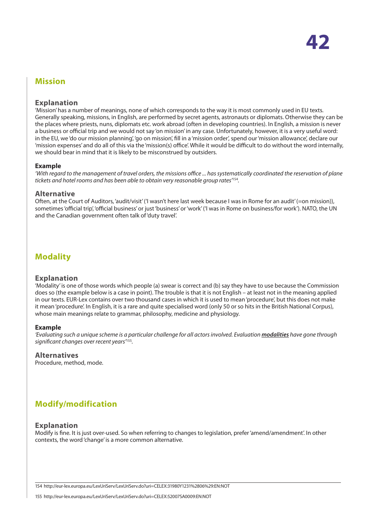# <span id="page-41-0"></span>**Mission**

#### **Explanation**

'Mission' has a number of meanings, none of which corresponds to the way it is most commonly used in EU texts. Generally speaking, missions, in English, are performed by secret agents, astronauts or diplomats. Otherwise they can be the places where priests, nuns, diplomats etc. work abroad (often in developing countries). In English, a mission is never a business or official trip and we would not say 'on mission' in any case. Unfortunately, however, it is a very useful word: in the EU, we 'do our mission planning', 'go on mission', fill in a 'mission order', spend our 'mission allowance', declare our 'mission expenses' and do all of this via the 'mission(s) office'. While it would be difficult to do without the word internally, we should bear in mind that it is likely to be misconstrued by outsiders.

#### **Example**

*'With regard to the management of travel orders, the missions office ... has systematically coordinated the reservation of plane tickets and hotel rooms and has been able to obtain very reasonable group rates'*<sup>154</sup>*.*

#### **Alternative**

Often, at the Court of Auditors, 'audit/visit' ('I wasn't here last week because I was in Rome for an audit' (=on mission)), sometimes 'official trip', 'official business' or just 'business' or 'work' ('I was in Rome on business/for work'). NATO, the UN and the Canadian government often talk of 'duty travel'.

# **Modality**

#### **Explanation**

'Modality' is one of those words which people (a) swear is correct and (b) say they have to use because the Commission does so (the example below is a case in point). The trouble is that it is not English – at least not in the meaning applied in our texts. EUR-Lex contains over two thousand cases in which it is used to mean 'procedure', but this does not make it mean 'procedure'. In English, it is a rare and quite specialised word (only 50 or so hits in the British National Corpus), whose main meanings relate to grammar, philosophy, medicine and physiology.

#### **Example**

*'Evaluating such a unique scheme is a particular challenge for all actors involved. Evaluation modalities have gone through significant changes over recent years'*<sup>155</sup>*.*

#### **Alternatives**

Procedure, method, mode.

# **Modify/modification**

#### **Explanation**

Modify is fine. It is just over-used. So when referring to changes to legislation, prefer 'amend/amendment'. In other contexts, the word 'change' is a more common alternative.

154 http://eur-lex.europa.eu/LexUriServ/LexUriServ.do?uri=CELEX:31980Y1231%2806%29:EN:NOT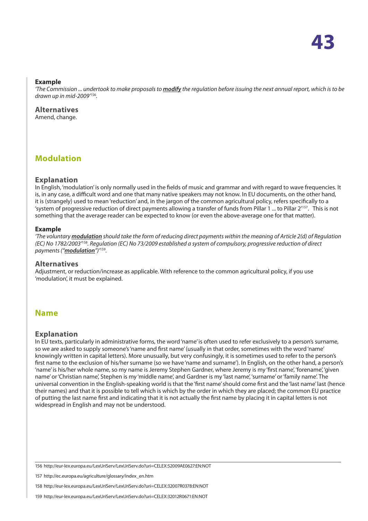#### <span id="page-42-0"></span>**Example**

*'The Commission ... undertook to make proposals to modify the regulation before issuing the next annual report, which is to be drawn up in mid-2009'*<sup>156</sup>*.*

**Alternatives** Amend, change.

# **Modulation**

#### **Explanation**

In English, 'modulation' is only normally used in the fields of music and grammar and with regard to wave frequencies. It is, in any case, a difficult word and one that many native speakers may not know. In EU documents, on the other hand, it is (strangely) used to mean 'reduction' and, in the jargon of the common agricultural policy, refers specifically to a 'system of progressive reduction of direct payments allowing a transfer of funds from Pillar 1 ... to Pillar 2'157. This is not something that the average reader can be expected to know (or even the above-average one for that matter).

#### **Example**

*'The voluntary modulation should take the form of reducing direct payments within the meaning of Article 2(d) of Regulation (EC) No 1782/2003'*<sup>158</sup>*. Regulation (EC) No 73/2009 established a system of compulsory, progressive reduction of direct payments ("modulation")'*<sup>159</sup>*.*

#### **Alternatives**

Adjustment, or reduction/increase as applicable. With reference to the common agricultural policy, if you use 'modulation', it must be explained.

## **Name**

#### **Explanation**

In EU texts, particularly in administrative forms, the word 'name' is often used to refer exclusively to a person's surname, so we are asked to supply someone's 'name and first name' (usually in that order, sometimes with the word 'name' knowingly written in capital letters). More unusually, but very confusingly, it is sometimes used to refer to the person's first name to the exclusion of his/her surname (so we have 'name and surname'). In English, on the other hand, a person's 'name' is his/her whole name, so my name is Jeremy Stephen Gardner, where Jeremy is my 'first name', 'forename', 'given name' or 'Christian name', Stephen is my 'middle name', and Gardner is my 'last name', 'surname' or 'family name'. The universal convention in the English-speaking world is that the 'first name' should come first and the 'last name' last (hence their names) and that it is possible to tell which is which by the order in which they are placed; the common EU practice of putting the last name first and indicating that it is not actually the first name by placing it in capital letters is not widespread in English and may not be understood.

156 http://eur-lex.europa.eu/LexUriServ/LexUriServ.do?uri=CELEX:52009AE0627:EN:NOT

157 http://ec.europa.eu/agriculture/glossary/index\_en.htm

158 http://eur-lex.europa.eu/LexUriServ/LexUriServ.do?uri=CELEX:32007R0378:EN:NOT

159 http://eur-lex.europa.eu/LexUriServ/LexUriServ.do?uri=CELEX:32012R0671:EN:NOT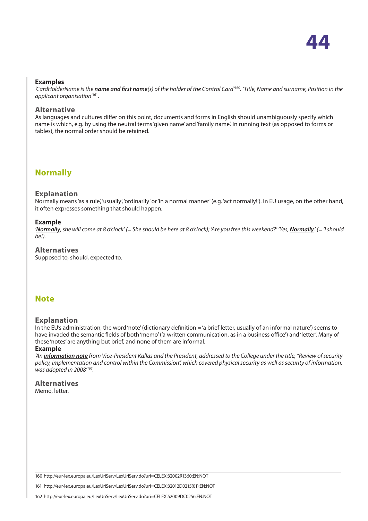

#### <span id="page-43-0"></span>**Examples**

*'CardHolderName is the name and first name(s) of the holder of the Control Card'*<sup>160</sup>*. 'Title, Name and surname, Position in the applicant organisation'*<sup>161</sup>*.*

#### **Alternative**

As languages and cultures differ on this point, documents and forms in English should unambiguously specify which name is which, e.g. by using the neutral terms 'given name' and 'family name'. In running text (as opposed to forms or tables), the normal order should be retained.

## **Normally**

#### **Explanation**

Normally means 'as a rule', 'usually', 'ordinarily' or 'in a normal manner' (e.g. 'act normally!'). In EU usage, on the other hand, it often expresses something that should happen.

#### **Example**

*'Normally, she will come at 8 o'clock' (= She should be here at 8 o'clock); 'Are you free this weekend?' 'Yes, Normally.' (= 'I should be.').*

#### **Alternatives**

Supposed to, should, expected to.

## **Note**

#### **Explanation**

In the EU's administration, the word 'note' (dictionary definition = 'a brief letter, usually of an informal nature') seems to have invaded the semantic fields of both 'memo' ('a written communication, as in a business office') and 'letter'. Many of these 'notes' are anything but brief, and none of them are informal.

#### **Example**

*'An information note from Vice-President Kallas and the President, addressed to the College under the title, "Review of security policy, implementation and control within the Commission", which covered physical security as well as security of information, was adopted in 2008'162.*

#### **Alternatives** Memo, letter.

160 http://eur-lex.europa.eu/LexUriServ/LexUriServ.do?uri=CELEX:32002R1360:EN:NOT

161 http://eur-lex.europa.eu/LexUriServ/LexUriServ.do?uri=CELEX:32012D0215(01):EN:NOT

162 http://eur-lex.europa.eu/LexUriServ/LexUriServ.do?uri=CELEX:52009DC0256:EN:NOT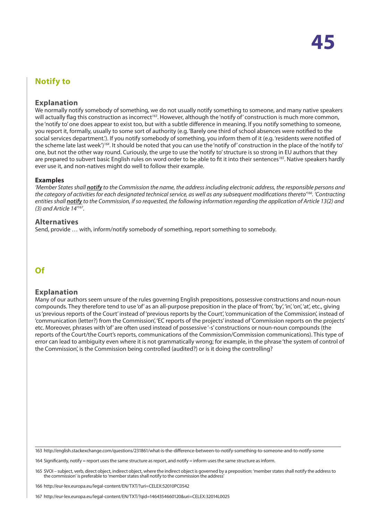# <span id="page-44-0"></span>**Notify to**

#### **Explanation**

We normally notify somebody of something, we do not usually notify something to someone, and many native speakers will actually flag this construction as incorrect*<sup>163</sup>*. However, although the 'notify of' construction is much more common, the 'notify to' one does appear to exist too, but with a subtle difference in meaning. If you notify something to someone, you report it, formally, usually to some sort of authority (e.g. 'Barely one third of school absences were notified to the social services department.'). If you notify somebody of something, you inform them of it (e.g. 'residents were notified of the scheme late last week')*<sup>164</sup>*. It should be noted that you can use the 'notify of' construction in the place of the 'notify to' one, but not the other way round. Curiously, the urge to use the 'notify to' structure is so strong in EU authors that they are prepared to subvert basic English rules on word order to be able to fit it into their sentences*<sup>165</sup>*. Native speakers hardly ever use it, and non-natives might do well to follow their example.

#### **Examples**

*'Member States shall notify to the Commission the name, the address including electronic address, the responsible persons and the category of activities for each designated technical service, as well as any subsequent modifications thereto'166. 'Contracting entities shall notify to the Commission, if so requested, the following information regarding the application of Article 13(2) and (3) and Article 14'167.*

#### **Alternatives**

Send, provide … with, inform/notify somebody of something, report something to somebody.

# **Of**

#### **Explanation**

Many of our authors seem unsure of the rules governing English prepositions, possessive constructions and noun-noun compounds. They therefore tend to use 'of' as an all-purpose preposition in the place of 'from', 'by', 'in', 'on', 'at', etc., giving us 'previous reports of the Court' instead of 'previous reports by the Court', 'communication of the Commission', instead of 'communication (letter?) from the Commission', 'EC reports of the projects' instead of 'Commission reports on the projects' etc. Moreover, phrases with 'of' are often used instead of possessive '-s' constructions or noun-noun compounds (the reports of the Court/the Court's reports, communications of the Commission/Commission communications). This type of error can lead to ambiguity even where it is not grammatically wrong; for example, in the phrase 'the system of control of the Commission', is the Commission being controlled (audited?) or is it doing the controlling?

163 http://english.stackexchange.com/questions/231861/what-is-the-difference-between-to-notify-something-to-someone-and-to-notify-some

164 Significantly, notify = report uses the same structure as report, and notify = inform uses the same structure as inform.

165 SVOI – subject, verb, direct object, indirect object, where the indirect object is governed by a preposition: 'member states shall notify the address to the commission' is preferable to 'member states shall notify to the commission the address'

166 http://eur-lex.europa.eu/legal-content/EN/TXT/?uri=CELEX:52010PC0542

167 http://eur-lex.europa.eu/legal-content/EN/TXT/?qid=1464354660120&uri=CELEX:32014L0025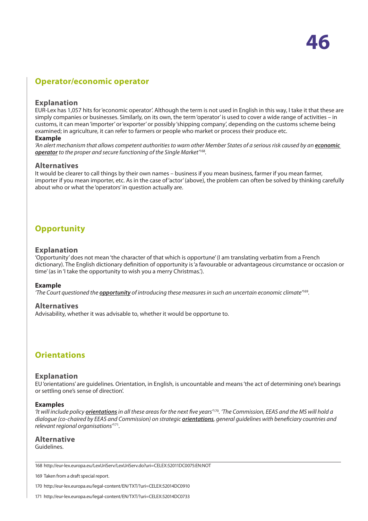# <span id="page-45-0"></span>**Operator/economic operator**

#### **Explanation**

EUR-Lex has 1,057 hits for 'economic operator'. Although the term is not used in English in this way, I take it that these are simply companies or businesses. Similarly, on its own, the term 'operator' is used to cover a wide range of activities – in customs, it can mean 'importer' or 'exporter' or possibly 'shipping company', depending on the customs scheme being examined; in agriculture, it can refer to farmers or people who market or process their produce etc.

#### **Example**

'An alert mechanism that allows competent authorities to warn other Member States of a serious risk caused by an *economic operator to the proper and secure functioning of the Single Market'*<sup>168</sup>*.*

#### **Alternatives**

It would be clearer to call things by their own names – business if you mean business, farmer if you mean farmer, importer if you mean importer, etc. As in the case of 'actor' (above), the problem can often be solved by thinking carefully about who or what the 'operators' in question actually are.

# **Opportunity**

#### **Explanation**

'Opportunity' does not mean 'the character of that which is opportune' (I am translating verbatim from a French dictionary). The English dictionary definition of opportunity is 'a favourable or advantageous circumstance or occasion or time' (as in 'I take the opportunity to wish you a merry Christmas.').

#### **Example**

*'The Court questioned the opportunity of introducing these measures in such an uncertain economic climate'*<sup>169</sup>*.*

#### **Alternatives**

Advisability, whether it was advisable to, whether it would be opportune to.

## **Orientations**

#### **Explanation**

EU 'orientations' are guidelines. Orientation, in English, is uncountable and means 'the act of determining one's bearings or settling one's sense of direction'.

#### **Examples**

*'It will include policy orientations in all these areas for the next five years'*<sup>170</sup>*. 'The Commission, EEAS and the MS will hold a dialogue (co-chaired by EEAS and Commission) on strategic orientations, general guidelines with beneficiary countries and relevant regional organisations'*<sup>171</sup>*.*

**Alternative** Guidelines.

169 Taken from a draft special report.

<sup>168</sup> http://eur-lex.europa.eu/LexUriServ/LexUriServ.do?uri=CELEX:52011DC0075:EN:NOT

<sup>170</sup> http://eur-lex.europa.eu/legal-content/EN/TXT/?uri=CELEX:52014DC0910

<sup>171</sup> http://eur-lex.europa.eu/legal-content/EN/TXT/?uri=CELEX:52014DC0733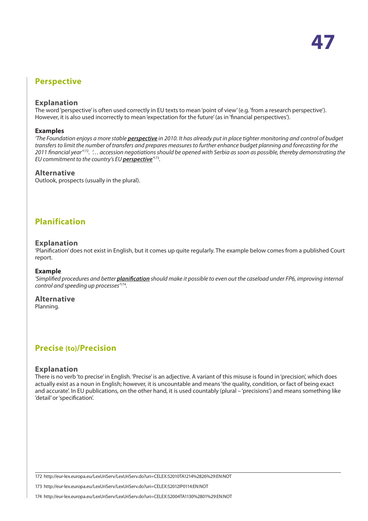# <span id="page-46-0"></span>**Perspective**

#### **Explanation**

The word 'perspective' is often used correctly in EU texts to mean 'point of view' (e.g. 'from a research perspective'). However, it is also used incorrectly to mean 'expectation for the future' (as in 'financial perspectives').

#### **Examples**

*'The Foundation enjoys a more stable perspective in 2010. It has already put in place tighter monitoring and control of budget transfers to limit the number of transfers and prepares measures to further enhance budget planning and forecasting for the 2011 financial year'*<sup>172</sup>*. '… accession negotiations should be opened with Serbia as soon as possible, thereby demonstrating the EU commitment to the country's EU perspective'* <sup>173</sup>*.*

#### **Alternative**

Outlook, prospects (usually in the plural).

# **Planification**

#### **Explanation**

'Planification' does not exist in English, but it comes up quite regularly. The example below comes from a published Court report.

#### **Example**

*'Simplified procedures and better planification should make it possible to even out the caseload under FP6, improving internal control and speeding up processes'*<sup>174</sup>*.*

#### **Alternative**

Planning.

## **Precise (to)/Precision**

#### **Explanation**

There is no verb 'to precise' in English. 'Precise' is an adjective. A variant of this misuse is found in 'precision', which does actually exist as a noun in English; however, it is uncountable and means 'the quality, condition, or fact of being exact and accurate'. In EU publications, on the other hand, it is used countably (plural – 'precisions') and means something like 'detail' or 'specification'.

172 http://eur-lex.europa.eu/LexUriServ/LexUriServ.do?uri=CELEX:52010TA1214%2826%29:EN:NOT

173 http://eur-lex.europa.eu/LexUriServ/LexUriServ.do?uri=CELEX:52012IP0114:EN:NOT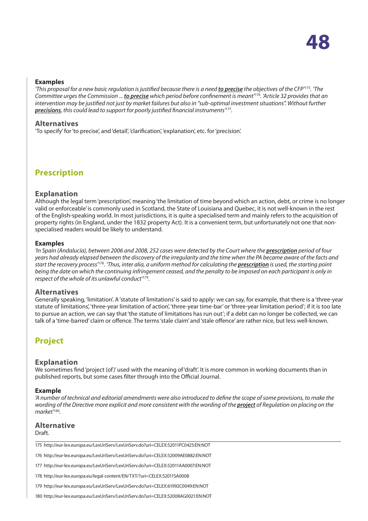#### <span id="page-47-0"></span>**Examples**

*'This proposal for a new basic regulation is justified because there is a need to precise the objectives of the CFP'*<sup>175</sup>*. 'The Committee urges the Commission ... to precise which period before confinement is meant'*<sup>176</sup>*. 'Article 32 provides that an intervention may be justified not just by market failures but also in "sub-optimal investment situations". Without further precisions, this could lead to support for poorly justified financial instruments'*<sup>177</sup>*.*

#### **Alternatives**

'To specify' for 'to precise', and 'detail', 'clarification', 'explanation', etc. for 'precision'.

**Prescription**

#### **Explanation**

Although the legal term 'prescription', meaning 'the limitation of time beyond which an action, debt, or crime is no longer valid or enforceable' is commonly used in Scotland, the State of Louisiana and Quebec, it is not well-known in the rest of the English-speaking world. In most jurisdictions, it is quite a specialised term and mainly refers to the acquisition of property rights (in England, under the 1832 property Act). It is a convenient term, but unfortunately not one that nonspecialised readers would be likely to understand.

#### **Examples**

*'In Spain (Andalucía), between 2006 and 2008, 252 cases were detected by the Court where the prescription period of four years had already elapsed between the discovery of the irregularity and the time when the PA became aware of the facts and start the recovery process'*<sup>178</sup>*. 'Thus, inter alia, a uniform method for calculating the prescription is used, the starting point being the date on which the continuing infringement ceased, and the penalty to be imposed on each participant is only in respect of the whole of its unlawful conduct'*<sup>179</sup>*.*

#### **Alternatives**

Generally speaking, 'limitation'. A 'statute of limitations' is said to apply: we can say, for example, that there is a 'three-year statute of limitations', 'three-year limitation of action', 'three-year time-bar' or 'three-year limitation period'; if it is too late to pursue an action, we can say that 'the statute of limitations has run out'; if a debt can no longer be collected, we can talk of a 'time-barred' claim or offence. The terms 'stale claim' and 'stale offence' are rather nice, but less well-known.

# **Project**

#### **Explanation**

We sometimes find 'project (of)' used with the meaning of 'draft'. It is more common in working documents than in published reports, but some cases filter through into the Official Journal.

#### **Example**

*'A number of technical and editorial amendments were also introduced to define the scope of some provisions, to make the wording of the Directive more explicit and more consistent with the wording of the project of Regulation on placing on the market'*<sup>180</sup>*.*

# **Alternative**

#### Draft.

175 http://eur-lex.europa.eu/LexUriServ/LexUriServ.do?uri=CELEX:52011PC0425:EN:NOT

176 http://eur-lex.europa.eu/LexUriServ/LexUriServ.do?uri=CELEX:52009AE0882:EN:NOT

177 http://eur-lex.europa.eu/LexUriServ/LexUriServ.do?uri=CELEX:52011AA0007:EN:NOT

178 http://eur-lex.europa.eu/legal-content/EN/TXT/?uri=CELEX:52011SA0008

179 http://eur-lex.europa.eu/LexUriServ/LexUriServ.do?uri=CELEX:61992C0049:EN:NOT

180 http://eur-lex.europa.eu/LexUriServ/LexUriServ.do?uri=CELEX:52008AG0021:EN:NOT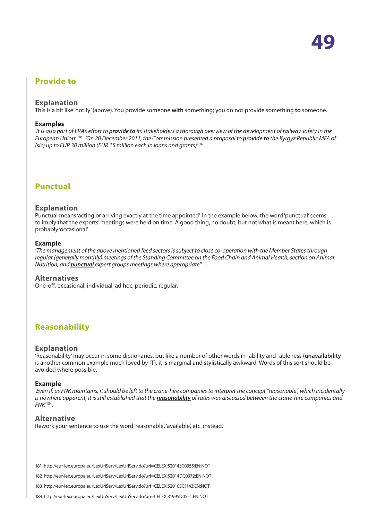# <span id="page-48-0"></span>**Provide to**

#### **Explanation**

This is a bit like 'notify' (above). You provide someone **with** something; you do not provide something **to** someone.

**49**

#### **Examples**

*'It is also part of ERA's effort to provide to its stakeholders a thorough overview of the development of railway safety in the European Union'* <sup>181</sup>*. 'On 20 December 2011, the Commission presented a proposal to provide to the Kyrgyz Republic MFA of (sic) up to EUR 30 million (EUR 15 million each in loans and grants)'*<sup>182</sup>*.*

## **Punctual**

#### **Explanation**

Punctual means 'acting or arriving exactly at the time appointed'. In the example below, the word 'punctual' seems to imply that the experts' meetings were held on time. A good thing, no doubt, but not what is meant here, which is probably 'occasional'.

#### **Example**

*'The management of the above mentioned feed sectors is subject to close co-operation with the Member States through regular (generally monthly) meetings of the Standing Committee on the Food Chain and Animal Health, section on Animal Nutrition, and punctual expert groups meetings where appropriate'*<sup>183</sup>*.*

#### **Alternatives**

One-off, occasional, individual, ad hoc, periodic, regular.

## **Reasonability**

#### **Explanation**

'Reasonability' may occur in some dictionaries, but like a number of other words in -ability and -ableness (**unavailability** is another common example much loved by IT), it is marginal and stylistically awkward. Words of this sort should be avoided where possible.

#### **Example**

*'Even if, as FNK maintains, it should be left to the crane-hire companies to interpret the concept "reasonable", which incidentally is nowhere apparent, it is still established that the reasonability of rates was discussed between the crane-hire companies and FNK'*<sup>184</sup>*.*

#### **Alternative**

Rework your sentence to use the word 'reasonable', 'available', etc. instead.

181 http://eur-lex.europa.eu/LexUriServ/LexUriServ.do?uri=CELEX:52014SC0355:EN:NOT

182 http://eur-lex.europa.eu/LexUriServ/LexUriServ.do?uri=CELEX:52014DC0372:EN:NOT

183 http://eur-lex.europa.eu/LexUriServ/LexUriServ.do?uri=CELEX:52010SC1143:EN:NOT

<sup>184</sup> http://eur-lex.europa.eu/LexUriServ/LexUriServ.do?uri=CELEX:31995D0551:EN:NOT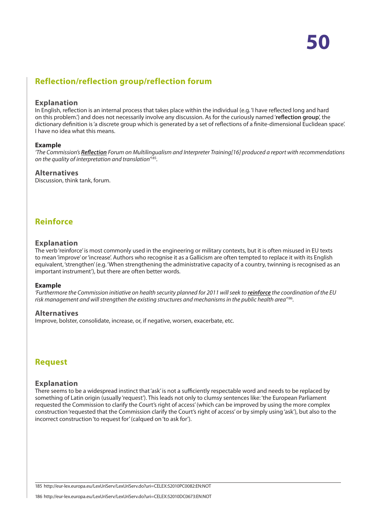# <span id="page-49-0"></span>**Reflection/reflection group/reflection forum**

#### **Explanation**

In English, reflection is an internal process that takes place within the individual (e.g. 'I have reflected long and hard on this problem.') and does not necessarily involve any discussion. As for the curiously named '**reflection group**', the dictionary definition is 'a discrete group which is generated by a set of reflections of a finite-dimensional Euclidean space'. I have no idea what this means.

#### **Example**

*'The Commission's Reflection Forum on Multilingualism and Interpreter Training[16] produced a report with recommendations on the quality of interpretation and translation'*<sup>185</sup>*.*

#### **Alternatives**

Discussion, think tank, forum.

# **Reinforce**

#### **Explanation**

The verb 'reinforce' is most commonly used in the engineering or military contexts, but it is often misused in EU texts to mean 'improve' or 'increase'. Authors who recognise it as a Gallicism are often tempted to replace it with its English equivalent, 'strengthen' (e.g. 'When strengthening the administrative capacity of a country, twinning is recognised as an important instrument'), but there are often better words.

#### **Example**

*'Furthermore the Commission initiative on health security planned for 2011 will seek to reinforce the coordination of the EU risk management and will strengthen the existing structures and mechanisms in the public health area'*<sup>186</sup>*.*

#### **Alternatives**

Improve, bolster, consolidate, increase, or, if negative, worsen, exacerbate, etc.

## **Request**

#### **Explanation**

There seems to be a widespread instinct that 'ask' is not a sufficiently respectable word and needs to be replaced by something of Latin origin (usually 'request'). This leads not only to clumsy sentences like: 'the European Parliament' requested the Commission to clarify the Court's right of access' (which can be improved by using the more complex construction 'requested that the Commission clarify the Court's right of access' or by simply using 'ask'), but also to the incorrect construction 'to request for' (calqued on 'to ask for').

185 http://eur-lex.europa.eu/LexUriServ/LexUriServ.do?uri=CELEX:52010PC0082:EN:NOT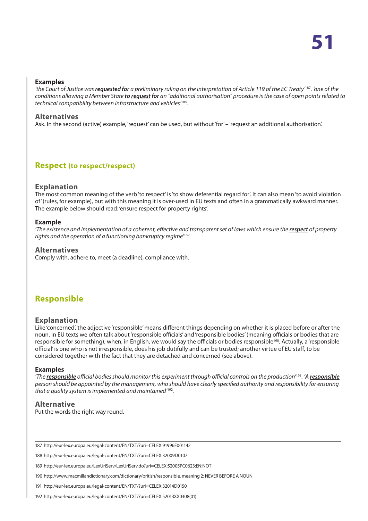#### <span id="page-50-0"></span>**Examples**

*'the Court of Justice was requested for a preliminary ruling on the interpretation of Article 119 of the EC Treaty'*<sup>187</sup>*. 'one of the conditions allowing a Member State to request for an "additional authorisation" procedure is the case of open points related to technical compatibility between infrastructure and vehicles'*<sup>188</sup>*.*

#### **Alternatives**

Ask. In the second (active) example, 'request' can be used, but without 'for' - 'request an additional authorisation'.

## **Respect (to respect/respect)**

#### **Explanation**

The most common meaning of the verb 'to respect' is 'to show deferential regard for'. It can also mean 'to avoid violation of' (rules, for example), but with this meaning it is over-used in EU texts and often in a grammatically awkward manner. The example below should read: 'ensure respect for property rights'.

#### **Example**

*'The existence and implementation of a coherent, effective and transparent set of laws which ensure the respect of property rights and the operation of a functioning bankruptcy regime'*<sup>189</sup>*.*

#### **Alternatives**

Comply with, adhere to, meet (a deadline), compliance with.

# **Responsible**

#### **Explanation**

Like 'concerned', the adjective 'responsible' means different things depending on whether it is placed before or after the noun. In EU texts we often talk about 'responsible officials' and 'responsible bodies' (meaning officials or bodies that are responsible for something), when, in English, we would say the officials or bodies responsible<sup>190</sup>. Actually, a 'responsible official' is one who is not irresponsible, does his job dutifully and can be trusted; another virtue of EU staff, to be considered together with the fact that they are detached and concerned (see above).

#### **Examples**

*'The responsible official bodies should monitor this experiment through official controls on the production'*<sup>191</sup>*. 'A responsible person should be appointed by the management, who should have clearly specified authority and responsibility for ensuring that a quality system is implemented and maintained'*<sup>192</sup>*.*

#### **Alternative**

Put the words the right way round.

187 http://eur-lex.europa.eu/legal-content/EN/TXT/?uri=CELEX:91996E001142

188 http://eur-lex.europa.eu/legal-content/EN/TXT/?uri=CELEX:32009D0107

189 http://eur-lex.europa.eu/LexUriServ/LexUriServ.do?uri=CELEX:52005PC0623:EN:NOT

190 http://www.macmillandictionary.com/dictionary/british/responsible, meaning 2: NEVER BEFORE A NOUN

191 http://eur-lex.europa.eu/legal-content/EN/TXT/?uri=CELEX:32014D0150

192 http://eur-lex.europa.eu/legal-content/EN/TXT/?uri=CELEX:52013XX0308(01)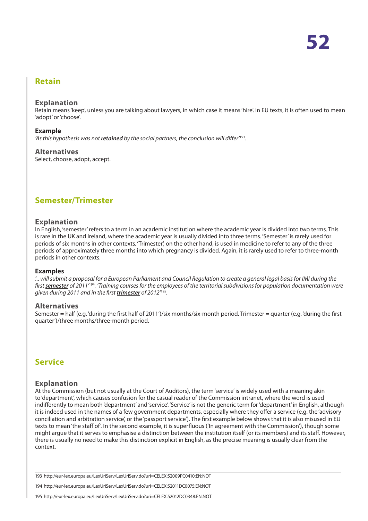## <span id="page-51-0"></span>**Retain**

#### **Explanation**

Retain means 'keep', unless you are talking about lawyers, in which case it means 'hire'. In EU texts, it is often used to mean 'adopt' or 'choose'.

#### **Example**

*'As this hypothesis was not retained by the social partners, the conclusion will differ'*<sup>193</sup>*.*

#### **Alternatives**

Select, choose, adopt, accept.

## **Semester/Trimester**

#### **Explanation**

In English, 'semester' refers to a term in an academic institution where the academic year is divided into two terms. This is rare in the UK and Ireland, where the academic year is usually divided into three terms. 'Semester' is rarely used for periods of six months in other contexts. 'Trimester', on the other hand, is used in medicine to refer to any of the three periods of approximately three months into which pregnancy is divided. Again, it is rarely used to refer to three-month periods in other contexts.

#### **Examples**

*'... will submit a proposal for a European Parliament and Council Regulation to create a general legal basis for IMI during the first semester of 2011'*<sup>194</sup>*. 'Training courses for the employees of the territorial subdivisions for population documentation were given during 2011 and in the first trimester of 2012'*<sup>195</sup>*.*

#### **Alternatives**

Semester = half (e.g. 'during the first half of 2011')/six months/six-month period. Trimester = quarter (e.g. 'during the first quarter')/three months/three-month period.

## **Service**

#### **Explanation**

At the Commission (but not usually at the Court of Auditors), the term 'service' is widely used with a meaning akin to 'department', which causes confusion for the casual reader of the Commission intranet, where the word is used indifferently to mean both 'department' and 'service'. 'Service' is not the generic term for 'department' in English, although it is indeed used in the names of a few government departments, especially where they offer a service (e.g. the 'advisory conciliation and arbitration service', or the 'passport service'). The first example below shows that it is also misused in EU texts to mean 'the staff of'. In the second example, it is superfluous ('In agreement with the Commission'), though some might argue that it serves to emphasise a distinction between the institution itself (or its members) and its staff. However, there is usually no need to make this distinction explicit in English, as the precise meaning is usually clear from the context.

193 http://eur-lex.europa.eu/LexUriServ/LexUriServ.do?uri=CELEX:52009PC0410:EN:NOT

194 http://eur-lex.europa.eu/LexUriServ/LexUriServ.do?uri=CELEX:52011DC0075:EN:NOT

195 http://eur-lex.europa.eu/LexUriServ/LexUriServ.do?uri=CELEX:52012DC0348:EN:NOT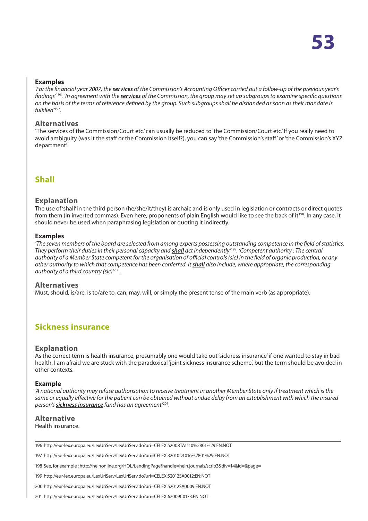#### <span id="page-52-0"></span>**Examples**

*'For the financial year 2007, the services of the Commission's Accounting Officer carried out a follow-up of the previous year's findings'*<sup>196</sup>*. 'In agreement with the services of the Commission, the group may set up subgroups to examine specific questions on the basis of the terms of reference defined by the group. Such subgroups shall be disbanded as soon as their mandate is fulfilled'*<sup>197</sup>*.*

#### **Alternatives**

'The services of the Commission/Court etc.' can usually be reduced to 'the Commission/Court etc.' If you really need to avoid ambiguity (was it the staff or the Commission itself?), you can say 'the Commission's staff' or 'the Commission's XYZ department'.

# **Shall**

#### **Explanation**

The use of 'shall' in the third person (he/she/it/they) is archaic and is only used in legislation or contracts or direct quotes from them (in inverted commas). Even here, proponents of plain English would like to see the back of it<sup>198</sup>. In any case, it should never be used when paraphrasing legislation or quoting it indirectly.

#### **Examples**

*'The seven members of the board are selected from among experts possessing outstanding competence in the field of statistics. They perform their duties in their personal capacity and shall act independently'*<sup>199</sup>*. 'Competent authority : The central authority of a Member State competent for the organisation of official controls (sic) in the field of organic production, or any other authority to which that competence has been conferred. It shall also include, where appropriate, the corresponding authority of a third country (sic)'*<sup>200</sup>*.*

#### **Alternatives**

Must, should, is/are, is to/are to, can, may, will, or simply the present tense of the main verb (as appropriate).

## **Sickness insurance**

#### **Explanation**

As the correct term is health insurance, presumably one would take out 'sickness insurance' if one wanted to stay in bad health. I am afraid we are stuck with the paradoxical 'joint sickness insurance scheme', but the term should be avoided in other contexts.

#### **Example**

*'A national authority may refuse authorisation to receive treatment in another Member State only if treatment which is the*  same or equally effective for the patient can be obtained without undue delay from an establishment with which the insured *person's sickness insurance fund has an agreement'*<sup>201</sup>*.*

#### **Alternative**

Health insurance.

196 http://eur-lex.europa.eu/LexUriServ/LexUriServ.do?uri=CELEX:52008TA1110%2801%29:EN:NOT

197 http://eur-lex.europa.eu/LexUriServ/LexUriServ.do?uri=CELEX:32010D1016%2801%29:EN:NOT

198 See, for example : http://heinonline.org/HOL/LandingPage?handle=hein.journals/scrib3&div=14&id=&page=

199 http://eur-lex.europa.eu/LexUriServ/LexUriServ.do?uri=CELEX:52012SA0012:EN:NOT

200 http://eur-lex.europa.eu/LexUriServ/LexUriServ.do?uri=CELEX:52012SA0009:EN:NOT

201 http://eur-lex.europa.eu/LexUriServ/LexUriServ.do?uri=CELEX:62009C0173:EN:NOT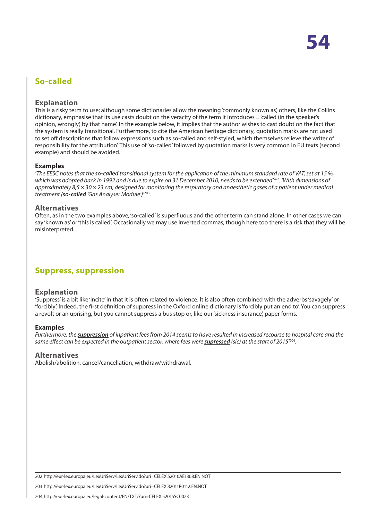# <span id="page-53-0"></span>**So-called**

#### **Explanation**

This is a risky term to use; although some dictionaries allow the meaning 'commonly known as', others, like the Collins dictionary, emphasise that its use casts doubt on the veracity of the term it introduces = 'called (in the speaker's opinion, wrongly) by that name'. In the example below, it implies that the author wishes to cast doubt on the fact that the system is really transitional. Furthermore, to cite the American heritage dictionary, 'quotation marks are not used to set off descriptions that follow expressions such as so-called and self-styled, which themselves relieve the writer of responsibility for the attribution'. This use of 'so-called' followed by quotation marks is very common in EU texts (second example) and should be avoided.

#### **Examples**

*'The EESC notes that the so-called transitional system for the application of the minimum standard rate of VAT, set at 15 %, which was adopted back in 1992 and is due to expire on 31 December 2010, needs to be extended'202. 'With dimensions of approximately 8,5 × 30 × 23 cm, designed for monitoring the respiratory and anaesthetic gases of a patient under medical treatment (so-called 'Gas Analyser Module')'*<sup>203</sup>*.*

#### **Alternatives**

Often, as in the two examples above, 'so-called' is superfluous and the other term can stand alone. In other cases we can say 'known as' or 'this is called'. Occasionally we may use inverted commas, though here too there is a risk that they will be misinterpreted.

# **Suppress, suppression**

#### **Explanation**

'Suppress' is a bit like 'incite' in that it is often related to violence. It is also often combined with the adverbs 'savagely' or 'forcibly'. Indeed, the first definition of suppress in the Oxford online dictionary is 'forcibly put an end to'. You can suppress a revolt or an uprising, but you cannot suppress a bus stop or, like our 'sickness insurance', paper forms.

#### **Examples**

*Furthermore, the suppression of inpatient fees from 2014 seems to have resulted in increased recourse to hospital care and the*  same effect can be expected in the outpatient sector, where fees were *supressed* (sic) at the start of 2015<sup>204</sup>.

#### **Alternatives**

Abolish/abolition, cancel/cancellation, withdraw/withdrawal.

203 http://eur-lex.europa.eu/LexUriServ/LexUriServ.do?uri=CELEX:32011R0112:EN:NOT

204 http://eur-lex.europa.eu/legal-content/EN/TXT/?uri=CELEX:52015SC0023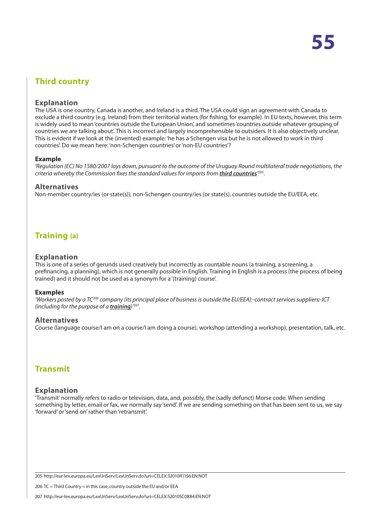# <span id="page-54-0"></span>**Third country**

#### **Explanation**

The USA is one country, Canada is another, and Ireland is a third. The USA could sign an agreement with Canada to exclude a third country (e.g. Ireland) from their territorial waters (for fishing, for example). In EU texts, however, this term is widely used to mean 'countries outside the European Union', and sometimes 'countries outside whatever grouping of countries we are talking about'. This is incorrect and largely incomprehensible to outsiders. It is also objectively unclear. This is evident if we look at the (invented) example: 'he has a Schengen visa but he is not allowed to work in third countries'. Do we mean here: 'non-Schengen countries' or 'non-EU countries'?

#### **Example**

*'Regulation (EC) No 1580/2007 lays down, pursuant to the outcome of the Uruguay Round multilateral trade negotiations, the criteria whereby the Commission fixes the standard values for imports from third countries'* <sup>205</sup>*.*

#### **Alternatives**

Non-member country/ies (or state(s)), non-Schengen country/ies (or state(s), countries outside the EU/EEA, etc.

# **Training (a)**

#### **Explanation**

This is one of a series of gerunds used creatively but incorrectly as countable nouns (a training, a screening, a prefinancing, a planning), which is not generally possible in English. Training in English is a process (the process of being trained) and it should not be used as a synonym for a '(training) course'.

#### **Examples**

*'Workers posted by a TC*<sup>206</sup> *company (its principal place of business is outside the EU/EEA):-contract services suppliers;-ICT (including for the purpose of a training)'*<sup>207</sup>*.*

#### **Alternatives**

Course (language course/I am on a course/I am doing a course), workshop (attending a workshop), presentation, talk, etc.

## **Transmit**

#### **Explanation**

'Transmit' normally refers to radio or television, data, and, possibly, the (sadly defunct) Morse code. When sending something by letter, email or fax, we normally say 'send'. If we are sending something on that has been sent to us, we say 'forward' or 'send on' rather than 'retransmit'.

205 http://eur-lex.europa.eu/LexUriServ/LexUriServ.do?uri=CELEX:32010R1156:EN:NOT

206 TC = Third Country = in this case, country outside the EU and/or EEA

207 http://eur-lex.europa.eu/LexUriServ/LexUriServ.do?uri=CELEX:52010SC0884:EN:NOT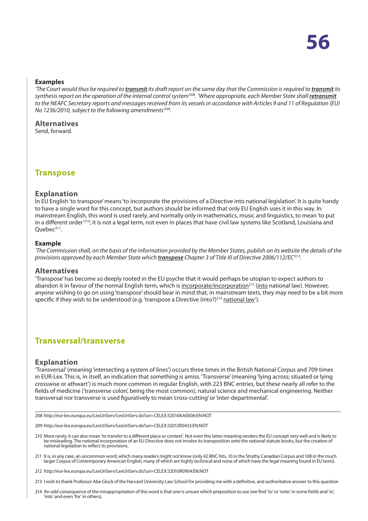#### <span id="page-55-0"></span>**Examples**

*'The Court would thus be required to transmit its draft report on the same day that the Commission is required to transmit its synthesis report on the operation of the internal control system'*<sup>208</sup>*. 'Where appropriate, each Member State shall retransmit to the NEAFC Secretary reports and messages received from its vessels in accordance with Articles 9 and 11 of Regulation (EU) No 1236/2010, subject to the following amendments'*<sup>209</sup>*.*

#### **Alternatives**

Send, forward.

**Transpose**

#### **Explanation**

In EU English 'to transpose' means 'to incorporate the provisions of a Directive into national legislation'. It is quite handy to have a single word for this concept, but authors should be informed that only EU English uses it in this way. In mainstream English, this word is used rarely, and normally only in mathematics, music and linguistics, to mean 'to put in a different order<sup>'210</sup>; it is not a legal term, not even in places that have civil law systems like Scotland, Louisiana and Ouebec<sup>211</sup>.

#### **Example**

*'The Commission shall, on the basis of the information provided by the Member States, publish on its website the details of the provisions approved by each Member State which transpose Chapter 3 of Title XI of Directive 2006/112/EC'*<sup>212</sup>*.*

#### **Alternatives**

'Transpose' has become so deeply rooted in the EU psyche that it would perhaps be utopian to expect authors to abandon it in favour of the normal English term, which is incorporate/incorporation<sup>213</sup> (into national law). However, anyone wishing to go on using 'transpose' should bear in mind that, in mainstream texts, they may need to be a bit more specific if they wish to be understood (e.g. 'transpose a Directive (into?)<sup>214</sup> national law').

## **Transversal/transverse**

#### **Explanation**

'Transversal' (meaning 'intersecting a system of lines') occurs three times in the British National Corpus and 709 times in EUR-Lex. This is, in itself, an indication that something is amiss. 'Transverse' (meaning 'lying across; situated or lying crosswise or athwart') is much more common in regular English, with 223 BNC entries, but these nearly all refer to the fields of medicine ('transverse colon', being the most common), natural science and mechanical engineering. Neither transversal nor transverse is used figuratively to mean 'cross-cutting' or 'inter-departmental'.

208 http://eur-lex.europa.eu/LexUriServ/LexUriServ.do?uri=CELEX:52010AA0006:EN:NOT

209 http://eur-lex.europa.eu/LexUriServ/LexUriServ.do?uri=CELEX:32012R0433:EN:NOT

- 210 More rarely, it can also mean 'to transfer to a different place or context'. Not even this latter meaning renders the EU concept very well and is likely to be misleading. The national incorporation of an EU Directive does not involve its transposition onto the national statute books, but the creation of national legislation to reflect its provisions.
- 211 It is, in any case, an uncommon word, which many readers might not know (only 42 BNC hits, 10 in the Strathy Canadian Corpus and 108 in the much larger Corpus of Contemporary American English, many of which are highly technical and none of which have the legal meaning found in EU texts).
- 212 http://eur-lex.europa.eu/LexUriServ/LexUriServ.do?uri=CELEX:32010R0904:EN:NOT
- 213 I wish to thank Professor Abe Gluck of the Harvard University Law School for providing me with a definitive, and authoritative answer to this question
- 214 An odd consequence of the misappropriation of this word is that one is unsure which preposition to use (we find 'to' or 'onto' in some fields and 'in', 'into' and even 'for' in others).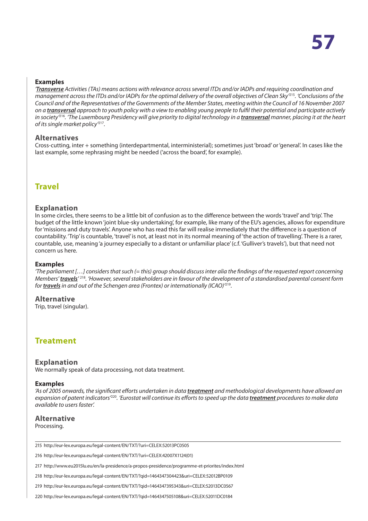#### <span id="page-56-0"></span>**Examples**

*'Transverse Activities (TAs) means actions with relevance across several ITDs and/or IADPs and requiring coordination and management across the ITDs and/or IADPs for the optimal delivery of the overall objectives of Clean Sky'*<sup>215</sup>*. 'Conclusions of the Council and of the Representatives of the Governments of the Member States, meeting within the Council of 16 November 2007 on a transversal approach to youth policy with a view to enabling young people to fulfil their potential and participate actively in society*<sup>216</sup>. 'The Luxembourg Presidency will give priority to digital technology in a **transversal** manner, placing it at the heart *of its single market policy'*<sup>217</sup>*.*

#### **Alternatives**

Cross-cutting, inter + something (interdepartmental, interministerial); sometimes just 'broad' or 'general'. In cases like the last example, some rephrasing might be needed ('across the board', for example).

## **Travel**

#### **Explanation**

In some circles, there seems to be a little bit of confusion as to the difference between the words 'travel' and 'trip'. The budget of the little known 'joint blue-sky undertaking', for example, like many of the EU's agencies, allows for expenditure for 'missions and duty travels'. Anyone who has read this far will realise immediately that the difference is a question of countability. 'Trip' is countable, 'travel' is not, at least not in its normal meaning of 'the action of travelling'. There is a rarer, countable, use, meaning 'a journey especially to a distant or unfamiliar place' (c.f. 'Gulliver's travels'), but that need not concern us here.

#### **Examples**

*'The parliament […] considers that such (= this) group should discuss inter alia the findings of the requested report concerning Members' travels'* <sup>218</sup>*. 'However, several stakeholders are in favour of the development of a standardised parental consent form for travels in and out of the Schengen area (Frontex) or internationally (ICAO)'*<sup>219</sup>*.*

**Alternative** Trip, travel (singular).

## **Treatment**

#### **Explanation**

We normally speak of data processing, not data treatment.

#### **Examples**

*'As of 2005 onwards, the significant efforts undertaken in data treatment and methodological developments have allowed an expansion of patent indicators'*<sup>220</sup>*. 'Eurostat will continue its efforts to speed up the data treatment procedures to make data available to users faster'.*

#### **Alternative**

Processing.

215 http://eur-lex.europa.eu/legal-content/EN/TXT/?uri=CELEX:52013PC0505

216 http://eur-lex.europa.eu/legal-content/EN/TXT/?uri=CELEX:42007X1124(01)

217 http://www.eu2015lu.eu/en/la-presidence/a-propos-presidence/programme-et-priorites/index.html

218 http://eur-lex.europa.eu/legal-content/EN/TXT/?qid=1464347304423&uri=CELEX:52012BP0109

219 http://eur-lex.europa.eu/legal-content/EN/TXT/?qid=1464347395343&uri=CELEX:52013DC0567

220 http://eur-lex.europa.eu/legal-content/EN/TXT/?qid=1464347505108&uri=CELEX:52011DC0184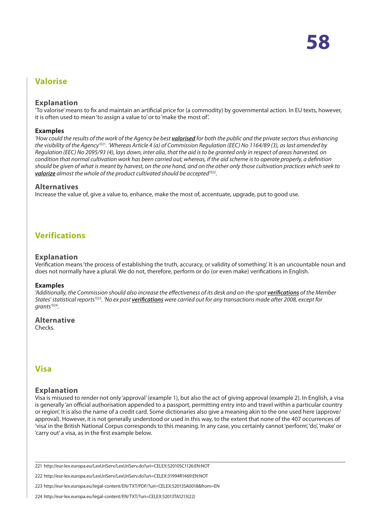# <span id="page-57-0"></span>**Valorise**

#### **Explanation**

'To valorise' means to fix and maintain an artificial price for (a commodity) by governmental action. In EU texts, however, it is often used to mean 'to assign a value to' or to 'make the most of'.

#### **Examples**

*'How could the results of the work of the Agency be best valorised for both the public and the private sectors thus enhancing the visibility of the Agency'*<sup>221</sup>*. 'Whereas Article 4 (a) of Commission Regulation (EEC) No 1164/89 (3), as last amended by Regulation (EEC) No 2095/93 (4), lays down, inter alia, that the aid is to be granted only in respect of areas harvested, on condition that normal cultivation work has been carried out; whereas, if the aid scheme is to operate properly, a definition should be given of what is meant by harvest, on the one hand, and on the other only those cultivation practices which seek to valorize almost the whole of the product cultivated should be accepted'*<sup>222</sup>*.*

#### **Alternatives**

Increase the value of, give a value to, enhance, make the most of, accentuate, upgrade, put to good use.

# **Verifications**

#### **Explanation**

Verification means 'the process of establishing the truth, accuracy, or validity of something'. It is an uncountable noun and does not normally have a plural. We do not, therefore, perform or do (or even make) verifications in English.

#### **Examples**

*'Additionally, the Commission should also increase the effectiveness of its desk and on-the-spot verifications of the Member States' statistical reports'*<sup>223</sup>*. 'No ex post verifications were carried out for any transactions made after 2008, except for grants'*<sup>224</sup>*.*

## **Alternative**

Checks.

# **Visa**

#### **Explanation**

Visa is misused to render not only 'approval' (example 1), but also the act of giving approval (example 2). In English, a visa is generally 'an official authorisation appended to a passport, permitting entry into and travel within a particular country or region'. It is also the name of a credit card. Some dictionaries also give a meaning akin to the one used here (approve/ approval). However, it is not generally understood or used in this way, to the extent that none of the 407 occurrences of 'visa' in the British National Corpus corresponds to this meaning. In any case, you certainly cannot 'perform', 'do', 'make' or 'carry out' a visa, as in the first example below.

221 http://eur-lex.europa.eu/LexUriServ/LexUriServ.do?uri=CELEX:52010SC1126:EN:NOT

222 http://eur-lex.europa.eu/LexUriServ/LexUriServ.do?uri=CELEX:31994R1469:EN:NOT

223 http://eur-lex.europa.eu/legal-content/EN/TXT/PDF/?uri=CELEX:52013SA0018&from=EN

224 http://eur-lex.europa.eu/legal-content/EN/TXT/?uri=CELEX:52013TA1213(22)